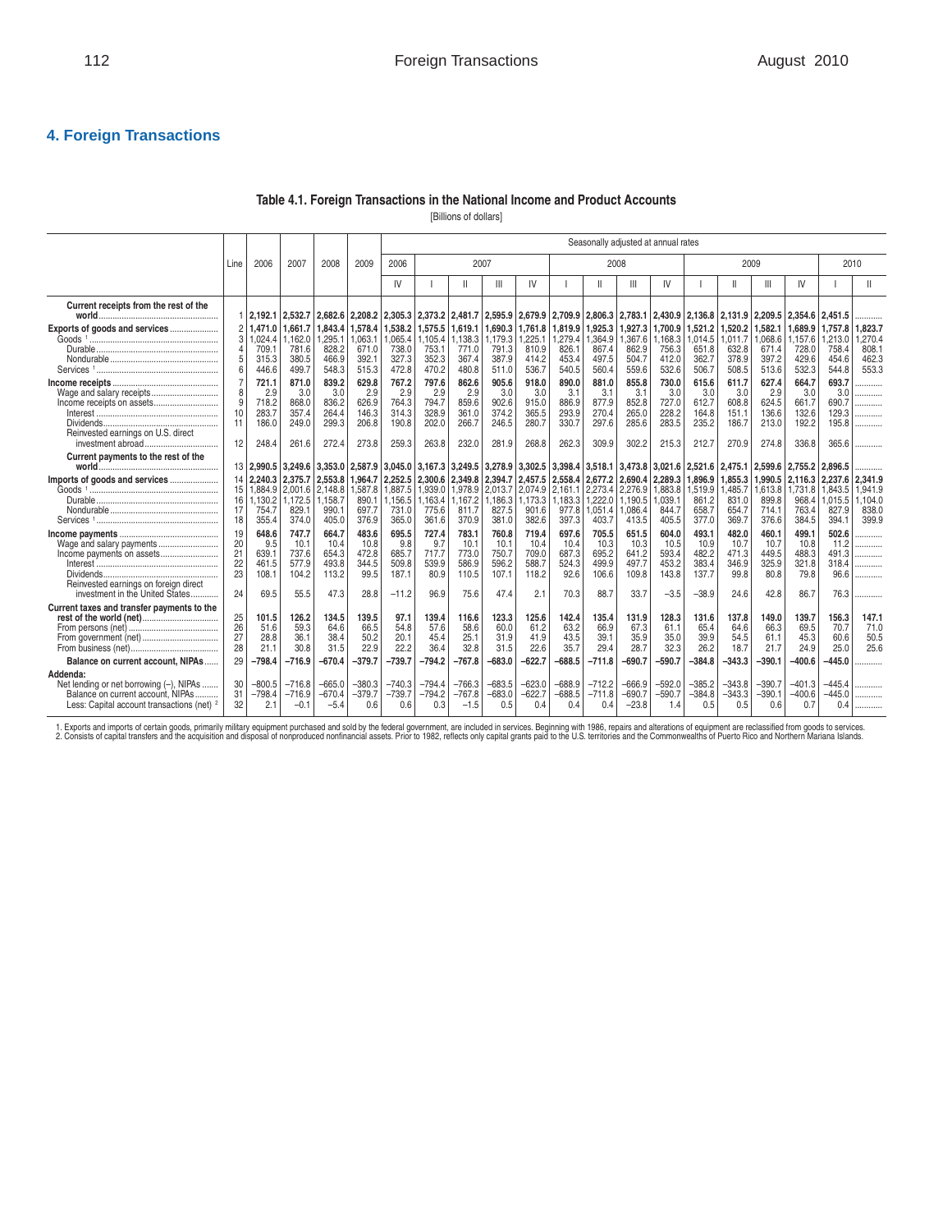## **4. Foreign Transactions**

#### **Table 4.1. Foreign Transactions in the National Income and Product Accounts**

[Billions of dollars]

|                                                                                                                                                   |                                  |                                                  |                                                  |                                                  | Seasonally adjusted at annual rates              |                                                    |                                                  |                                                  |                                                  |                                                  |                                                  |                                                  |                                                  |                                                    |                                                     |                                                  |                                                  |                                                  |                                                  |                                                |
|---------------------------------------------------------------------------------------------------------------------------------------------------|----------------------------------|--------------------------------------------------|--------------------------------------------------|--------------------------------------------------|--------------------------------------------------|----------------------------------------------------|--------------------------------------------------|--------------------------------------------------|--------------------------------------------------|--------------------------------------------------|--------------------------------------------------|--------------------------------------------------|--------------------------------------------------|----------------------------------------------------|-----------------------------------------------------|--------------------------------------------------|--------------------------------------------------|--------------------------------------------------|--------------------------------------------------|------------------------------------------------|
|                                                                                                                                                   | Line                             | 2006                                             | 2007                                             | 2008                                             | 2009                                             | 2006                                               |                                                  |                                                  | 2007                                             |                                                  |                                                  | 2008                                             |                                                  |                                                    |                                                     |                                                  | 2009                                             |                                                  |                                                  | 2010                                           |
|                                                                                                                                                   |                                  |                                                  |                                                  |                                                  |                                                  | IV                                                 |                                                  | Ш                                                | Ш                                                | IV                                               |                                                  | Ш                                                | Ш                                                | IV                                                 |                                                     | $\mathbf{I}$                                     | Ш                                                | IV                                               |                                                  |                                                |
| Current receipts from the rest of the                                                                                                             |                                  | 112.192.1                                        | 2,532.7                                          | 2,682.6                                          | 2,208.2 2,305.3                                  |                                                    | 2,373.2 2,481.7                                  |                                                  | 2,595.9                                          | 2,679.9                                          | 2,709.9                                          | 2,806.3                                          |                                                  | 2,783.1 2,430.9                                    | 2,136.8                                             | 2,131.9                                          | 2,209.5 2,354.6                                  |                                                  | 2,451.5                                          | .                                              |
| Exports of goods and services                                                                                                                     | $\overline{c}$<br>3              | .471.0<br>,024.4<br>709.<br>315.3<br>446.6       | 1.661.7<br>,162.0<br>781.6<br>380.5<br>499.7     | 1.843.4<br>,295.1<br>828.2<br>466.9<br>548.3     | 1,578.4<br>1,063.1<br>671.0<br>392.1<br>515.3    | 1,538.2<br>1,065.4<br>738.0<br>327.3<br>472.8      | 1,575.5<br>1,105.4<br>753.1<br>352.3<br>470.2    | 1,619.1<br>138.3<br>771.0<br>367.4<br>480.8      | 1.690.3<br>1,179.3<br>791.3<br>387.9<br>511.0    | .761.8<br>.225.1<br>810.9<br>414.2<br>536.7      | 1.819.9<br>.279.4<br>826.1<br>453.4<br>540.5     | 1.925.3<br>,364.9<br>867.4<br>497.5<br>560.4     | 1,927.3<br>1,367.6<br>862.9<br>504.7<br>559.6    | 1.700.9<br>1,168.3<br>756.3<br>412.0<br>532.6      | 1.521.2<br>1,014.5<br>651.8<br>362.7<br>506.7       | 1,520.2<br>,011.7<br>632.8<br>378.9<br>508.5     | 1.582.1<br>0.68.6<br>671.4<br>397.2<br>513.6     | 1.689.9<br>1,157.6<br>728.0<br>429.6<br>532.3    | 1,757.8<br>1,213.0<br>758.4<br>454.6<br>544.8    | 1.823.7<br>.270.4<br>808.1<br>462.3<br>553.3   |
| Wage and salary receipts<br>Reinvested earnings on U.S. direct<br>investment abroad                                                               | 8<br>10<br>11<br>12              | 721.1<br>2.9<br>718.2<br>283.7<br>186.0<br>248.4 | 871.0<br>3.0<br>868.0<br>357.4<br>249.0<br>261.6 | 839.2<br>3.0<br>836.2<br>264.4<br>299.3<br>272.4 | 629.8<br>2.9<br>626.9<br>146.3<br>206.8<br>273.8 | 767.2<br>2.9<br>764.3<br>314.3<br>190.8<br>259.3   | 797.6<br>2.9<br>794.7<br>328.9<br>202.0<br>263.8 | 862.6<br>2.9<br>859.6<br>361.0<br>266.7<br>232.0 | 905.6<br>3.0<br>902.6<br>374.2<br>246.5<br>281.9 | 918.0<br>3.0<br>915.0<br>365.5<br>280.7<br>268.8 | 890.0<br>3.1<br>886.9<br>293.9<br>330.7<br>262.3 | 881.0<br>3.1<br>877.9<br>270.4<br>297.6<br>309.9 | 855.8<br>3.1<br>852.8<br>265.0<br>285.6<br>302.2 | 730.0<br>3.0<br>727.0<br>228.2<br>283.5<br>215.3   | 615.6<br>3.0<br>612.7<br>164.8<br>235.2<br>212.7    | 611.7<br>3.0<br>608.8<br>151.1<br>186.7<br>270.9 | 627.4<br>2.9<br>624.5<br>136.6<br>213.0<br>274.8 | 664.7<br>3.0<br>661.7<br>132.6<br>192.2<br>336.8 | 693.7<br>3.0<br>690.7<br>129.3<br>195.8<br>365.6 | .<br>.<br><br>.<br>.                           |
| Current payments to the rest of the                                                                                                               |                                  | 13 2.990.5                                       | 3.249.6                                          | 3.353.0                                          | 2.587.9                                          | 3.045.0                                            | 3.167.3                                          | 3.249.5                                          | 3,278.9                                          | 3.302.5                                          | 3,398.4 3,518.1                                  |                                                  | 3.473.8                                          | 3.021.6                                            | 2.521.6                                             | 2.475.1                                          |                                                  | 2.599.6 2.755.2                                  | 2.896.5                                          |                                                |
| Imports of goods and services<br>Goods <sup>1</sup> …………………………………………………                                                                           | 14<br>15<br>16<br>17<br>18       | 2.240.3<br>1.884.9<br>.130.2<br>754.7<br>355.4   | 2,375.7<br>2.001.6<br>.172.5<br>829.1<br>374.0   | 2.553.8<br>2,148.8<br>1.158.7<br>990.1<br>405.0  | 1.964.7<br>.587.8<br>890.1<br>697.7<br>376.9     | 2.252.5<br>1.887.5<br>1.156.5<br>731.0<br>365.0    | 2.300.6<br>.939.0<br>1.163.4<br>775.6<br>361.6   | 2.349.8<br>1.978.9<br>.167.2<br>811.7<br>370.9   | 2,394.7<br>2.013.7<br>.186.3<br>827.5<br>381.0   | 2.457.5<br>2,074.9<br>1.173.3<br>901.6<br>382.6  | 2.558.4<br>2.161.1<br>.183.3<br>977.8<br>397.3   | 2.677.2<br>2.273.4<br>.222.0<br>.051.4<br>403.7  | 2.690.4<br>2.276.9<br>1.190.5<br>.086.4<br>413.5 | 2.289.3<br>1,883.8<br>.039.<br>844.7<br>405.5      | 1.896.9<br>.519.9<br>861.2<br>658.7<br>377.0        | 1.855.3<br>,485.7<br>831.0<br>654.7<br>369.7     | 1.990.5<br>.613.8<br>899.8<br>714.1<br>376.6     | 2.116.3<br>1.731.8<br>968.4<br>763.4<br>384.5    | 2,237.6<br>1.843.5<br>1.015.5<br>827.9<br>394.1  | 2.341.9<br>1.941.9<br>.104.0<br>838.0<br>399.9 |
| Income payments on assets<br>Reinvested earnings on foreign direct<br>investment in the United States                                             | 19<br>20<br>21<br>22<br>23<br>24 | 648.6<br>9.5<br>639.1<br>461.5<br>108.1<br>69.5  | 747.7<br>10.1<br>737.6<br>577.9<br>104.2<br>55.5 | 664.7<br>10.4<br>654.3<br>493.8<br>113.2<br>47.3 | 483.6<br>10.8<br>472.8<br>344.5<br>99.5<br>28.8  | 695.5<br>9.8<br>685.7<br>509.8<br>187.1<br>$-11.2$ | 727.4<br>9.7<br>717.7<br>539.9<br>80.9<br>96.9   | 783.1<br>10.1<br>773.0<br>586.9<br>110.5<br>75.6 | 760.8<br>10.1<br>750.7<br>596.2<br>107.1<br>47.4 | 719.4<br>10.4<br>709.0<br>588.7<br>118.2<br>2.1  | 697.6<br>10.4<br>687.3<br>524.3<br>92.6<br>70.3  | 705.5<br>10.3<br>695.2<br>499.9<br>106.6<br>88.7 | 651.5<br>10.3<br>641.2<br>497.7<br>109.8<br>33.7 | 604.0<br>10.5<br>593.4<br>453.2<br>143.8<br>$-3.5$ | 493.1<br>10.9<br>482.2<br>383.4<br>137.7<br>$-38.9$ | 482.0<br>10.7<br>471.3<br>346.9<br>99.8<br>24.6  | 460.1<br>10.7<br>449.5<br>325.9<br>80.8<br>42.8  | 499.1<br>10.8<br>488.3<br>321.8<br>79.8<br>86.7  | 502.6<br>11.2<br>491.3<br>318.4<br>96.6<br>76.3  | .<br>.<br>.<br><br>.<br>.                      |
| Current taxes and transfer payments to the                                                                                                        | 25<br>26<br>27<br>28             | 101.5<br>51.6<br>28.8<br>21.1                    | 126.2<br>59.3<br>36.1<br>30.8                    | 134.5<br>64.6<br>38.4<br>31.5                    | 139.5<br>66.5<br>50.2<br>22.9                    | 97.1<br>54.8<br>20.1<br>22.2                       | 139.4<br>57.6<br>45.4<br>36.4                    | 116.6<br>58.6<br>25.1<br>32.8                    | 123.3<br>60.0<br>31.9<br>31.5                    | 125.6<br>61.2<br>41.9<br>22.6                    | 142.4<br>63.2<br>43.5<br>35.7                    | 135.4<br>66.9<br>39.1<br>29.4                    | 131.9<br>67.3<br>35.9<br>28.7                    | 128.3<br>61.1<br>35.0<br>32.3                      | 131.6<br>65.4<br>39.9<br>26.2                       | 137.8<br>64.6<br>54.5<br>18.7                    | 149.0<br>66.3<br>61.1<br>21.7                    | 139.7<br>69.5<br>45.3<br>24.9                    | 156.3<br>70.7<br>60.6<br>25.0                    | 147.1<br>71.0<br>50.5<br>25.6                  |
| Balance on current account, NIPAs                                                                                                                 | 29                               | $-798.4$                                         | $-716.9$                                         | $-670.4$                                         | $-379.7$                                         | $-739.7$                                           | $-794.2$                                         | $-767.8$                                         | $-683.0$                                         | $-622.7$                                         | $-688.5$                                         | $-711.8$                                         | $-690.7$                                         | -590.7                                             | $-384.8$                                            | $-343.3$                                         | $-390.1$                                         | $-400.6$                                         | $-445.0$                                         | .                                              |
| Addenda:<br>Net lending or net borrowing (-), NIPAs<br>Balance on current account. NIPAs<br>Less: Capital account transactions (net) <sup>2</sup> | 30<br>31<br>32                   | $-800.5$<br>$-798.4$<br>2.1                      | $-716.8$<br>$-716.9$<br>$-0.1$                   | $-665.0$<br>–670.4<br>$-5.4$                     | $-380.3$<br>$-379.7$<br>0.6                      | $-740.3$<br>$-739.7$<br>0.6                        | $-794.4$<br>$-794.2$<br>0.3                      | $-766.3$<br>$-767.8$<br>$-1.5$                   | $-683.5$<br>$-683.0$<br>0.5                      | $-623.0$<br>$-622.7$<br>0.4                      | $-688.9$<br>$-688.5$<br>0.4                      | $-712.2$<br>$-711.8$<br>0.4                      | $-666.9$<br>$-690.7$<br>$-23.8$                  | $-592.0$<br>$-590.7$<br>1.4                        | $-385.2$<br>$-384.8$<br>0.5                         | $-343.8$<br>$-343.3$<br>0.5                      | $-390.7$<br>$-390.1$<br>0.6                      | $-401.3$<br>$-400.6$<br>0.7                      | $-445.4$<br>$-445.0$<br>0.4                      | .<br>.                                         |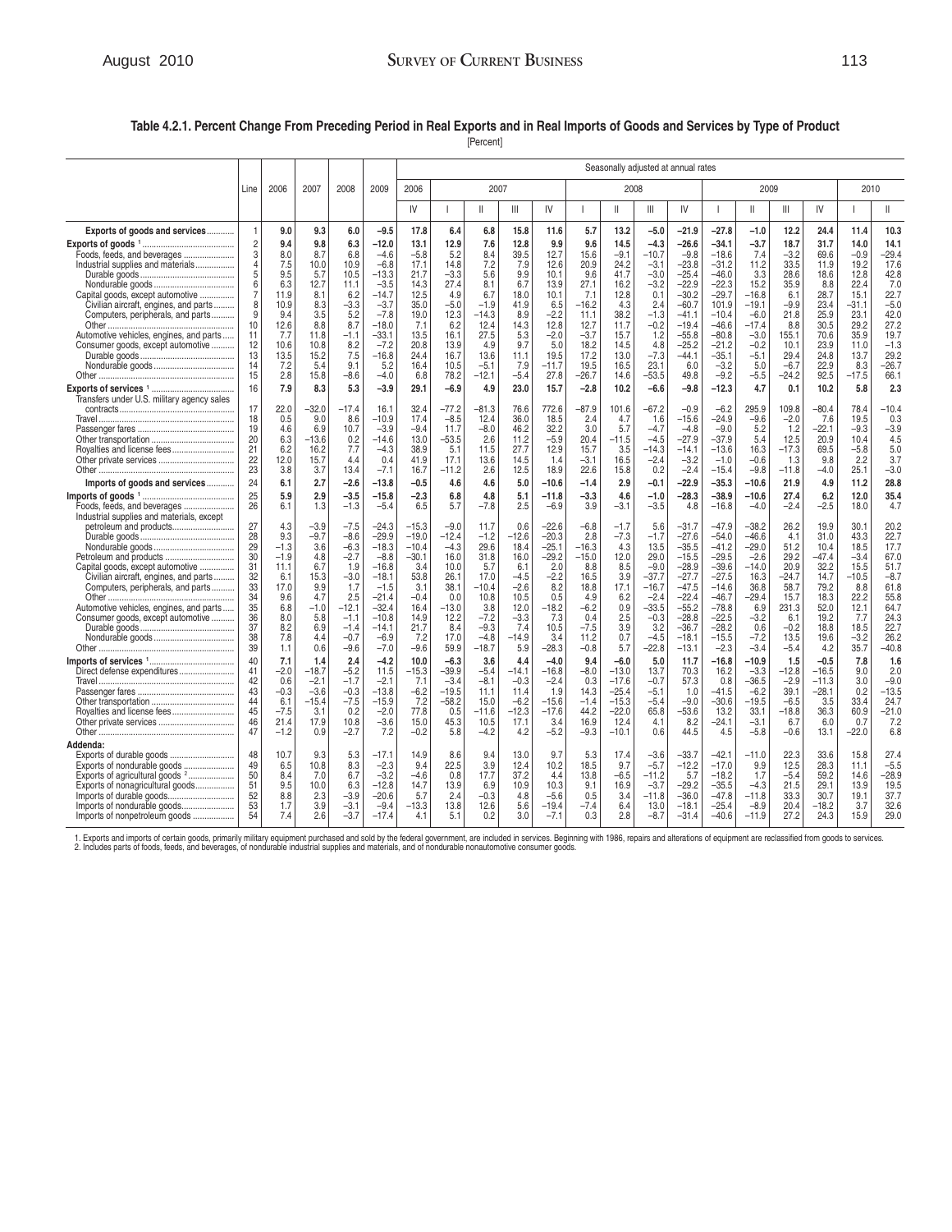# August 2010 **SURVEY OF CURRENT BUSINESS** 113

## **Table 4.2.1. Percent Change From Preceding Period in Real Exports and in Real Imports of Goods and Services by Type of Product**

[Percent]

|                                                                                                                                                                                                                                                                    |                                                                                                               |                                                                                   |                                                                                     |                                                                                                    |                                                                                                                   |                                                                                                  |                                                                                              |                                                                                             |                                                                                            |                                                                                                   |                                                                                              |                                                                                       |                                                                                                     | Seasonally adjusted at annual rates                                                                                   |                                                                                                                       |                                                                                                       |                                                                                         |                                                                                         |                                                                                           |                                                                                            |
|--------------------------------------------------------------------------------------------------------------------------------------------------------------------------------------------------------------------------------------------------------------------|---------------------------------------------------------------------------------------------------------------|-----------------------------------------------------------------------------------|-------------------------------------------------------------------------------------|----------------------------------------------------------------------------------------------------|-------------------------------------------------------------------------------------------------------------------|--------------------------------------------------------------------------------------------------|----------------------------------------------------------------------------------------------|---------------------------------------------------------------------------------------------|--------------------------------------------------------------------------------------------|---------------------------------------------------------------------------------------------------|----------------------------------------------------------------------------------------------|---------------------------------------------------------------------------------------|-----------------------------------------------------------------------------------------------------|-----------------------------------------------------------------------------------------------------------------------|-----------------------------------------------------------------------------------------------------------------------|-------------------------------------------------------------------------------------------------------|-----------------------------------------------------------------------------------------|-----------------------------------------------------------------------------------------|-------------------------------------------------------------------------------------------|--------------------------------------------------------------------------------------------|
|                                                                                                                                                                                                                                                                    | Line                                                                                                          | 2006                                                                              | 2007                                                                                | 2008                                                                                               | 2009                                                                                                              | 2006                                                                                             |                                                                                              | 2007                                                                                        |                                                                                            |                                                                                                   |                                                                                              | 2008                                                                                  |                                                                                                     |                                                                                                                       |                                                                                                                       | 2009                                                                                                  |                                                                                         |                                                                                         | 2010                                                                                      |                                                                                            |
|                                                                                                                                                                                                                                                                    |                                                                                                               |                                                                                   |                                                                                     |                                                                                                    |                                                                                                                   | IV                                                                                               | $\mathbf{I}$                                                                                 | $\mathbb{I}$                                                                                | III                                                                                        | IV                                                                                                |                                                                                              | Ш                                                                                     | $\mathbb{H}$                                                                                        | IV                                                                                                                    | J.                                                                                                                    | $\mathsf{II}$                                                                                         | Ш                                                                                       | $\mathsf{I}\mathsf{V}$                                                                  |                                                                                           | Ш.                                                                                         |
| Exports of goods and services                                                                                                                                                                                                                                      | $\mathbf{1}$                                                                                                  | 9.0                                                                               | 9.3                                                                                 | 6.0                                                                                                | $-9.5$                                                                                                            | 17.8                                                                                             | 6.4                                                                                          | 6.8                                                                                         | 15.8                                                                                       | 11.6                                                                                              | 5.7                                                                                          | 13.2                                                                                  | $-5.0$                                                                                              | $-21.9$                                                                                                               | $-27.8$                                                                                                               | $-1.0$                                                                                                | 12.2                                                                                    | 24.4                                                                                    | 11.4                                                                                      | 10.3                                                                                       |
| Foods, feeds, and beverages<br>Industrial supplies and materials<br>Capital goods, except automotive<br>Civilian aircraft, engines, and parts<br>Computers, peripherals, and parts<br>Automotive vehicles, engines, and parts<br>Consumer goods, except automotive | $\begin{array}{c} 2 \\ 3 \\ 4 \end{array}$<br>5<br>6<br>$\overline{7}$<br>$\mathsf{R}$<br>g<br>10<br>11<br>12 | 9.4<br>8.0<br>7.5<br>9.5<br>6.3<br>11.9<br>10.9<br>9.4<br>12.6<br>7.7<br>10.6     | 9.8<br>8.7<br>10.0<br>5.7<br>12.7<br>8.1<br>8.3<br>3.5<br>8.8<br>11.8<br>10.8       | 6.3<br>6.8<br>10.9<br>10.5<br>11.1<br>6.2<br>$-3.3$<br>5.2<br>8.7<br>$-1.1$<br>8.2                 | $-12.0$<br>$-4.6$<br>$-6.8$<br>-13.3<br>$-3.5$<br>–14.7<br>$-3.7$<br>$-7.8$<br>$-18.0$<br>$-33.1$<br>$-7.2$       | 13.1<br>$-5.8$<br>17.1<br>21.7<br>14.3<br>12.5<br>35.0<br>19.0<br>7.1<br>13.5<br>20.8            | 12.9<br>5.2<br>14.8<br>$-3.3$<br>27.4<br>4.9<br>$-5.0$<br>12.3<br>6.2<br>16.1<br>13.9        | 7.6<br>8.4<br>7.2<br>5.6<br>8.1<br>6.7<br>$-1.9$<br>$-14.3$<br>12.4<br>27.5<br>4.9          | 12.8<br>39.5<br>7.9<br>9.9<br>6.7<br>18.0<br>41.9<br>8.9<br>14.3<br>5.3<br>9.7             | 9.9<br>12.7<br>12.6<br>10.1<br>13.9<br>10.1<br>6.5<br>$-2.2$<br>12.8<br>$-2.0$<br>5.0             | 9.6<br>15.6<br>20.9<br>9.6<br>27.1<br>7.1<br>$-16.2$<br>11.1<br>12.7<br>$-3.7$<br>18.2       | 14.5<br>$-9.1$<br>24.2<br>41.7<br>16.2<br>12.8<br>4.3<br>38.2<br>11.7<br>15.7<br>14.5 | $-4.3$<br>$-10.7$<br>$-3.1$<br>$-3.0$<br>$-3.2$<br>0.1<br>2.4<br>$-1.3$<br>$-0.2$<br>1.2<br>4.8     | $-26.6$<br>$-9.8$<br>$-23.8$<br>$-25.4$<br>$-22.9$<br>$-30.2$<br>$-60.7$<br>$-41.1$<br>$-19.4$<br>$-55.8$<br>$-25.2$  | $-34.1$<br>$-18.6$<br>$-31.2$<br>$-46.0$<br>$-22.3$<br>$-29.7$<br>101.9<br>$-10.4$<br>$-46.6$<br>$-80.8$<br>$-21.2$   | -3.7<br>7.4<br>11.2<br>3.3<br>15.2<br>$-16.8$<br>$-19.1$<br>$-6.0$<br>$-17.4$<br>$-3.0$<br>$-0.2$     | 18.7<br>$-3.2$<br>33.5<br>28.6<br>35.9<br>6.1<br>$-9.9$<br>21.8<br>8.8<br>155.1<br>10.1 | 31.7<br>69.6<br>11.9<br>18.6<br>8.8<br>28.7<br>23.4<br>25.9<br>30.5<br>70.6<br>23.9     | 14.0<br>$-0.9$<br>19.2<br>12.8<br>22.4<br>15.1<br>$-31.1$<br>23.1<br>29.2<br>35.9<br>11.0 | 14.1<br>$-29.4$<br>17.6<br>42.8<br>7.0<br>22.7<br>$-5.0$<br>42.0<br>27.2<br>19.7<br>$-1.3$ |
|                                                                                                                                                                                                                                                                    | 13<br>14<br>15                                                                                                | 13.5<br>7.2<br>2.8                                                                | 15.2<br>5.4<br>15.8                                                                 | 7.5<br>9.1<br>$-8.6$                                                                               | $-16.8$<br>5.2<br>$-4.0$                                                                                          | 24.4<br>16.4<br>6.8                                                                              | 16.7<br>10.5<br>78.2                                                                         | 13.6<br>$-5.1$<br>$-12.1$                                                                   | 11.1<br>7.9<br>$-5.4$                                                                      | 19.5<br>$-11.7$<br>27.8                                                                           | 17.2<br>19.5<br>$-26.7$                                                                      | 13.0<br>16.5<br>14.6                                                                  | $-7.3$<br>23.1<br>$-53.5$                                                                           | $-44.1$<br>6.0<br>49.8                                                                                                | $-35.1$<br>$-3.2$<br>$-9.2$                                                                                           | $-5.1$<br>5.0<br>$-5.5$                                                                               | 29.4<br>$-6.7$<br>$-24.2$                                                               | 24.8<br>22.9<br>92.5                                                                    | 13.7<br>8.3<br>$-17.5$                                                                    | 29.2<br>$-26.7$<br>66.1                                                                    |
| Transfers under U.S. military agency sales                                                                                                                                                                                                                         | 16                                                                                                            | 7.9                                                                               | 8.3                                                                                 | 5.3                                                                                                | $-3.9$                                                                                                            | 29.1                                                                                             | $-6.9$                                                                                       | 4.9                                                                                         | 23.0                                                                                       | 15.7                                                                                              | $-2.8$                                                                                       | 10.2                                                                                  | $-6.6$                                                                                              | $-9.8$                                                                                                                | $-12.3$                                                                                                               | 4.7                                                                                                   | 0.1                                                                                     | 10.2                                                                                    | 5.8                                                                                       | 2.3                                                                                        |
|                                                                                                                                                                                                                                                                    | 17<br>18<br>19<br>20<br>21<br>22<br>23                                                                        | 22.0<br>0.5<br>4.6<br>6.3<br>6.2<br>12.0<br>3.8                                   | $-32.0$<br>9.0<br>6.9<br>$-13.6$<br>16.2<br>15.7<br>3.7                             | $-17.4$<br>8.6<br>10.7<br>0.2<br>7.7<br>4.4<br>13.4                                                | 16.1<br>$-10.9$<br>$-3.9$<br>$-14.6$<br>$-4.3$<br>0.4<br>$-7.1$                                                   | 32.4<br>17.4<br>$-9.4$<br>13.0<br>38.9<br>41.9<br>16.7                                           | $-77.2$<br>$-8.5$<br>11.7<br>$-53.5$<br>5.1<br>17.1<br>$-11.2$                               | $-81.3$<br>12.4<br>$-8.0$<br>2.6<br>11.5<br>13.6<br>2.6                                     | 76.6<br>36.0<br>46.2<br>11.2<br>27.7<br>14.5<br>12.5                                       | 772.6<br>18.5<br>32.2<br>$-5.9$<br>12.9<br>1.4<br>18.9                                            | $-87.9$<br>2.4<br>3.0<br>20.4<br>15.7<br>$-3.1$<br>22.6                                      | 101.6<br>4.7<br>5.7<br>$-11.5$<br>3.5<br>16.5<br>15.8                                 | $-67.2$<br>1.6<br>$-4.7$<br>$-4.5$<br>$-14.3$<br>$-2.4$<br>0.2                                      | $-0.9$<br>$-15.6$<br>$-4.8$<br>$-27.9$<br>$-14.1$<br>$-3.2$<br>$-2.4$                                                 | $-6.2$<br>$-24.9$<br>$-9.0$<br>$-37.9$<br>$-13.6$<br>$-1.0$<br>$-15.4$                                                | 295.9<br>$-9.6$<br>5.2<br>5.4<br>16.3<br>$-0.6$<br>$-9.8$                                             | 109.8<br>$-2.0$<br>1.2<br>12.5<br>$-17.3$<br>1.3<br>$-11.8$                             | $-80.4$<br>7.6<br>$-22.1$<br>20.9<br>69.5<br>9.8<br>$-4.0$                              | 78.4<br>19.5<br>$-9.3$<br>10.4<br>$-5.8$<br>2.2<br>25.1                                   | $-10.4$<br>0.3<br>$-3.9$<br>4.5<br>5.0<br>3.7<br>$-3.0$                                    |
| Imports of goods and services                                                                                                                                                                                                                                      | 24                                                                                                            | 6.1                                                                               | 2.7                                                                                 | $-2.6$                                                                                             | $-13.8$                                                                                                           | $-0.5$                                                                                           | 4.6                                                                                          | 4.6                                                                                         | 5.0                                                                                        | $-10.6$                                                                                           | $-1.4$                                                                                       | 2.9                                                                                   | $-0.1$                                                                                              | $-22.9$                                                                                                               | $-35.3$                                                                                                               | $-10.6$                                                                                               | 21.9                                                                                    | 4.9                                                                                     | 11.2                                                                                      | 28.8                                                                                       |
| Industrial supplies and materials, except                                                                                                                                                                                                                          | 25<br>26                                                                                                      | 5.9<br>6.1                                                                        | 2.9<br>1.3                                                                          | $-3.5$<br>$-1.3$                                                                                   | $-15.8$<br>$-5.4$                                                                                                 | $-2.3$<br>6.5                                                                                    | 6.8<br>5.7                                                                                   | 4.8<br>$-7.8$                                                                               | 5.1<br>2.5                                                                                 | $-11.8$<br>$-6.9$                                                                                 | $-3.3$<br>3.9                                                                                | 4.6<br>$-3.1$                                                                         | $-1.0$<br>$-3.5$                                                                                    | $-28.3$<br>4.8                                                                                                        | $-38.9$<br>$-16.8$                                                                                                    | $-10.6$<br>$-4.0$                                                                                     | 27.4<br>$-2.4$                                                                          | 6.2<br>$-2.5$                                                                           | 12.0<br>18.0                                                                              | 35.4<br>4.7                                                                                |
| Petroleum and products<br>Capital goods, except automotive<br>Civilian aircraft, engines, and parts<br>Computers, peripherals, and parts<br>Automotive vehicles, engines, and parts<br>Consumer goods, except automotive                                           | 27<br>28<br>29<br>30<br>31<br>32<br>33<br>34<br>35<br>36<br>37                                                | 4.3<br>9.3<br>$-1.3$<br>$-1.9$<br>11.1<br>6.1<br>17.0<br>9.6<br>6.8<br>8.0<br>8.2 | $-3.9$<br>$-9.7$<br>3.6<br>4.8<br>6.7<br>15.3<br>9.9<br>4.7<br>$-1.0$<br>5.8<br>6.9 | $-7.5$<br>$-8.6$<br>$-6.3$<br>$-2.7$<br>1.9<br>$-3.0$<br>1.7<br>2.5<br>$-12.1$<br>$-1.1$<br>$-1.4$ | –24.3<br>$-29.9$<br>$-18.3$<br>$-8.8$<br>$-16.8$<br>$-18.1$<br>$-1.5$<br>$-21.4$<br>$-32.4$<br>$-10.8$<br>$-14.1$ | $-15.3$<br>$-19.0$<br>$-10.4$<br>$-30.1$<br>3.4<br>53.8<br>3.1<br>$-0.4$<br>16.4<br>14.9<br>21.7 | $-9.0$<br>$-12.4$<br>$-4.3$<br>16.0<br>10.0<br>26.1<br>38.1<br>0.0<br>$-13.0$<br>12.2<br>8.4 | 11.7<br>$-1.2$<br>29.6<br>31.8<br>5.7<br>17.0<br>$-10.4$<br>10.8<br>3.8<br>$-7.2$<br>$-9.3$ | 0.6<br>$-12.6$<br>18.4<br>16.0<br>6.1<br>$-4.5$<br>$-2.6$<br>10.5<br>12.0<br>$-3.3$<br>7.4 | $-22.6$<br>$-20.3$<br>$-25.1$<br>$-29.2$<br>2.0<br>$-2.2$<br>8.2<br>0.5<br>$-18.2$<br>7.3<br>10.5 | $-6.8$<br>2.8<br>$-16.3$<br>$-15.0$<br>8.8<br>16.5<br>18.8<br>4.9<br>$-6.2$<br>0.4<br>$-7.5$ | $-1.7$<br>$-7.3$<br>4.3<br>12.0<br>8.5<br>3.9<br>17.1<br>6.2<br>0.9<br>2.5<br>3.9     | 5.6<br>$-1.7$<br>13.5<br>29.0<br>$-9.0$<br>$-37.7$<br>$-16.7$<br>$-2.4$<br>$-33.5$<br>$-0.3$<br>3.2 | $-31.7$<br>$-27.6$<br>$-35.5$<br>$-15.5$<br>$-28.9$<br>$-27.7$<br>$-47.5$<br>$-22.4$<br>$-55.2$<br>$-28.8$<br>$-36.7$ | $-47.9$<br>$-54.0$<br>$-41.2$<br>$-29.5$<br>$-39.6$<br>$-27.5$<br>$-14.6$<br>$-46.7$<br>$-78.8$<br>$-22.5$<br>$-28.2$ | $-38.2$<br>$-46.6$<br>$-29.0$<br>$-2.6$<br>$-14.0$<br>16.3<br>36.8<br>$-29.4$<br>6.9<br>$-3.2$<br>0.6 | 26.2<br>4.1<br>51.2<br>29.2<br>20.9<br>-24.7<br>58.7<br>15.7<br>231.3<br>6.1<br>$-0.2$  | 19.9<br>31.0<br>10.4<br>$-47.4$<br>32.2<br>14.7<br>79.2<br>18.3<br>52.0<br>19.2<br>18.8 | 30.1<br>43.3<br>18.5<br>$-3.4$<br>15.5<br>-10.5<br>8.8<br>22.2<br>12.1<br>7.7<br>18.5     | 20.2<br>22.7<br>17.7<br>67.0<br>51.7<br>$-8.7$<br>61.8<br>55.8<br>64.7<br>24.3<br>22.7     |
|                                                                                                                                                                                                                                                                    | 38<br>39                                                                                                      | 7.8<br>1.1                                                                        | 4.4<br>0.6                                                                          | $-0.7$<br>$-9.6$                                                                                   | $-6.9$<br>$-7.0$                                                                                                  | 7.2<br>$-9.6$                                                                                    | 17.0<br>59.9                                                                                 | $-4.8$<br>$-18.7$                                                                           | $-14.9$<br>5.9                                                                             | 3.4<br>$-28.3$                                                                                    | 11.2<br>$-0.8$                                                                               | 0.7<br>5.7                                                                            | $-4.5$<br>$-22.8$                                                                                   | $-18.1$<br>$-13.1$                                                                                                    | $-15.5$<br>$-2.3$                                                                                                     | $-7.2$<br>$-3.4$                                                                                      | 13.5<br>$-5.4$                                                                          | 19.6<br>4.2                                                                             | $-3.2$<br>35.7                                                                            | 26.2<br>$-40.8$                                                                            |
| Direct defense expenditures<br>Travel.<br>Royalties and license fees<br>Addenda:                                                                                                                                                                                   | 40<br>41<br>42<br>43<br>44<br>45<br>46<br>47                                                                  | 7.1<br>$-2.0$<br>0.6<br>$-0.3$<br>6.1<br>$-7.5$<br>21.4<br>$-1.2$                 | 1.4<br>-18.7<br>$-2.1$<br>$-3.6$<br>$-15.4$<br>3.1<br>17.9<br>0.9                   | 2.4<br>$-5.2$<br>$-1.7$<br>$-0.3$<br>$-7.5$<br>0.2<br>10.8<br>$-2.7$                               | $-4.2$<br>11.5<br>$-2.1$<br>-13.8<br>$-15.9$<br>$-2.0$<br>$-3.6$<br>7.2                                           | 10.0<br>$-15.3$<br>7.1<br>$-6.2$<br>7.2<br>77.8<br>15.0<br>$-0.2$                                | $-6.3$<br>$-39.9$<br>$-3.4$<br>$-19.5$<br>$-58.2$<br>0.5<br>45.3<br>5.8                      | 3.6<br>$-5.4$<br>$-8.1$<br>11.1<br>15.0<br>$-11.6$<br>10.5<br>$-4.2$                        | 4.4<br>-14.1<br>$-0.3$<br>11.4<br>$-6.2$<br>$-12.3$<br>17.1<br>4.2                         | $-4.0$<br>$-16.8$<br>$-2.4$<br>1.9<br>$-15.6$<br>$-17.6$<br>3.4<br>$-5.2$                         | 9.4<br>$-8.0$<br>0.3<br>14.3<br>$-1.4$<br>44.2<br>16.9<br>$-9.3$                             | $-6.0$<br>$-13.0$<br>$-17.6$<br>$-25.4$<br>$-15.3$<br>$-22.0$<br>12.4<br>$-10.1$      | 5.0<br>13.7<br>$-0.7$<br>$-5.1$<br>$-5.4$<br>65.8<br>4.1<br>0.6                                     | 11.7<br>70.3<br>57.3<br>1.0<br>$-9.0$<br>$-53.6$<br>8.2<br>44.5                                                       | $-16.8$<br>16.2<br>0.8<br>$-41.5$<br>$-30.6$<br>13.2<br>$-24.1$<br>4.5                                                | $-10.9$<br>$-3.3$<br>$-36.5$<br>$-6.2$<br>$-19.5$<br>33.1<br>$-3.1$<br>$-5.8$                         | 1.5<br>$-12.8$<br>$-2.9$<br>39.1<br>$-6.5$<br>$-18.8$<br>6.7<br>$-0.6$                  | $-0.5$<br>$-16.5$<br>$-11.3$<br>$-28.1$<br>3.5<br>36.3<br>6.0<br>13.1                   | 7.8<br>9.0<br>3.0<br>0.2<br>33.4<br>60.9<br>0.7<br>$-22.0$                                | 1.6<br>2.0<br>$-9.0$<br>$-13.5$<br>24.7<br>$-21.0$<br>7.2<br>6.8                           |
| Exports of durable goods<br>Exports of agricultural goods <sup>2</sup><br>Exports of nonagricultural goods<br>Imports of durable goods<br>Imports of nondurable goods<br>Imports of nonpetroleum goods                                                             | 48<br>49<br>50<br>51<br>52<br>53<br>54                                                                        | 10.7<br>6.5<br>8.4<br>9.5<br>8.8<br>1.7<br>7.4                                    | 9.3<br>10.8<br>7.0<br>10.0<br>2.3<br>3.9<br>2.6                                     | 5.3<br>8.3<br>6.7<br>6.3<br>$-3.9$<br>$-3.1$<br>$-3.7$                                             | $-17.1$<br>$-2.3$<br>$-3.2$<br>$-12.8$<br>$-20.6$<br>$-9.4$<br>$-17.4$                                            | 14.9<br>9.4<br>$-4.6$<br>14.7<br>5.7<br>$-13.3$<br>4.1                                           | 8.6<br>22.5<br>0.8<br>13.9<br>2.4<br>13.8<br>5.1                                             | 9.4<br>3.9<br>17.7<br>6.9<br>$-0.3$<br>12.6<br>0.2                                          | 13.0<br>12.4<br>37.2<br>10.9<br>4.8<br>5.6<br>3.0                                          | 9.7<br>10.2<br>4.4<br>10.3<br>$-5.6$<br>$-19.4$<br>$-7.1$                                         | 5.3<br>18.5<br>13.8<br>9.1<br>0.5<br>$-7.4$<br>0.3                                           | 17.4<br>9.7<br>$-6.5$<br>16.9<br>3.4<br>6.4<br>2.8                                    | $-3.6$<br>$-5.7$<br>$-11.2$<br>$-3.7$<br>$-11.8$<br>13.0<br>$-8.7$                                  | $-33.7$<br>$-12.2$<br>5.7<br>$-29.2$<br>$-36.0$<br>$-18.1$<br>$-31.4$                                                 | $-42.1$<br>$-17.0$<br>$-18.2$<br>$-35.5$<br>$-47.8$<br>$-25.4$<br>$-40.6$                                             | $-11.0$<br>9.9<br>1.7<br>$-4.3$<br>$-11.8$<br>$-8.9$<br>$-11.9$                                       | 22.3<br>12.5<br>$-5.4$<br>21.5<br>33.3<br>20.4<br>27.2                                  | 33.6<br>28.3<br>59.2<br>29.1<br>30.7<br>$-18.2$<br>24.3                                 | 15.8<br>11.1<br>14.6<br>13.9<br>19.1<br>3.7<br>15.9                                       | 27.4<br>$-5.5$<br>$-28.9$<br>19.5<br>37.7<br>32.6<br>29.0                                  |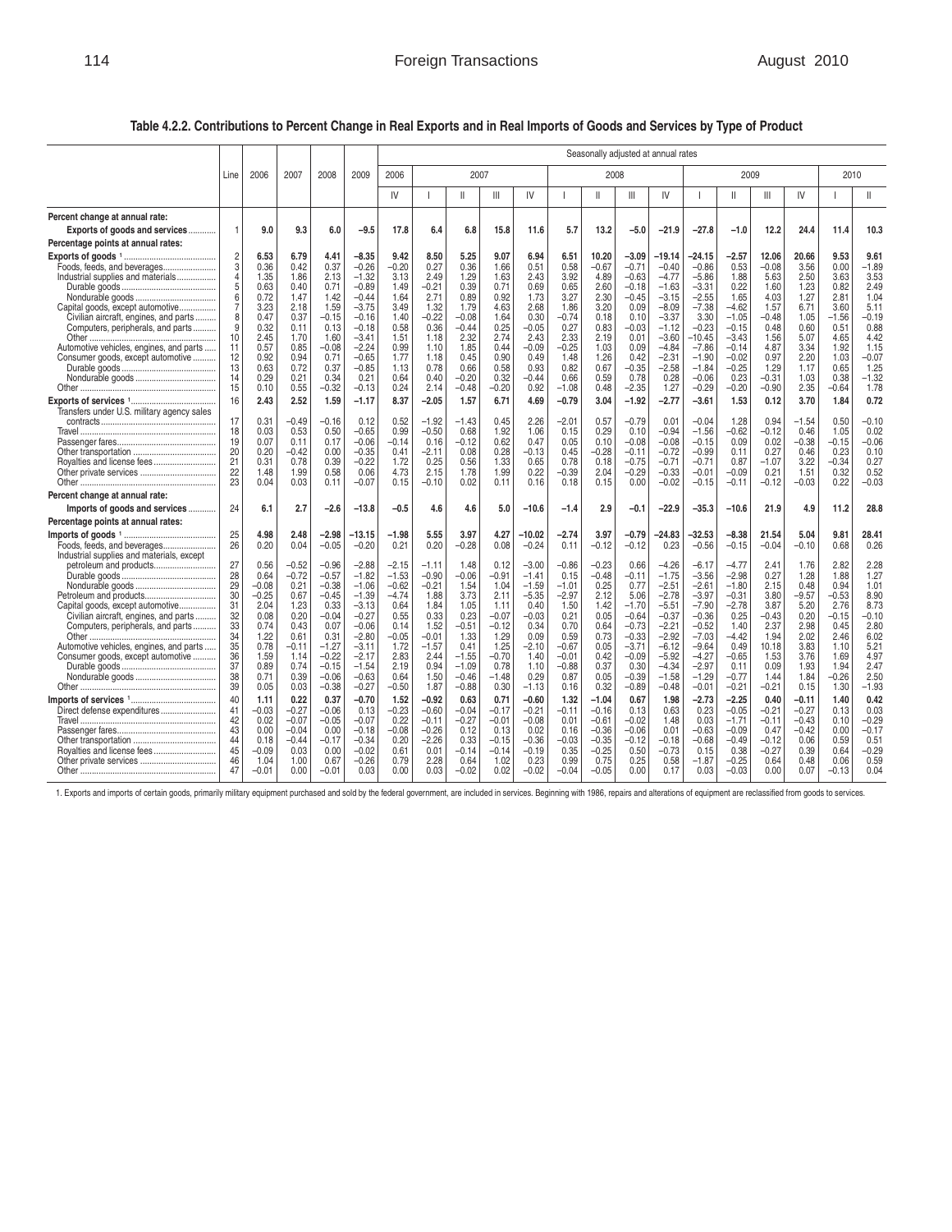**Table 4.2.2. Contributions to Percent Change in Real Exports and in Real Imports of Goods and Services by Type of Product** 

|                                                                          |                |                    |                 |                    | Seasonally adjusted at annual rates |                    |                    |                 |                 |                    |                    |                    |                    |                    |                    |                    |                 |                    |                 |                 |
|--------------------------------------------------------------------------|----------------|--------------------|-----------------|--------------------|-------------------------------------|--------------------|--------------------|-----------------|-----------------|--------------------|--------------------|--------------------|--------------------|--------------------|--------------------|--------------------|-----------------|--------------------|-----------------|-----------------|
|                                                                          | Line           | 2006               | 2007            | 2008               | 2009                                | 2006               |                    | 2007            |                 |                    |                    | 2008               |                    |                    |                    | 2009               |                 |                    | 2010            |                 |
|                                                                          |                |                    |                 |                    |                                     | IV                 |                    | $\mathbf{I}$    | $\mathbb{H}$    | IV                 |                    | $\mathbf{I}$       | Ш                  | IV                 |                    | $\mathsf{II}$      | $\mathbb{H}$    | IV                 |                 | Ш               |
| Percent change at annual rate:                                           |                |                    |                 |                    |                                     |                    |                    |                 |                 |                    |                    |                    |                    |                    |                    |                    |                 |                    |                 |                 |
| Exports of goods and services                                            | $\mathbf{1}$   | 9.0                | 9.3             | 6.0                | $-9.5$                              | 17.8               | 6.4                | 6.8             | 15.8            | 11.6               | 5.7                | 13.2               | $-5.0$             | $-21.9$            | $-27.8$            | $-1.0$             | 12.2            | 24.4               | 11.4            | 10.3            |
| Percentage points at annual rates:                                       |                |                    |                 |                    |                                     |                    |                    |                 |                 |                    |                    |                    |                    |                    |                    |                    |                 |                    |                 |                 |
|                                                                          | 2              | 6.53               | 6.79            | 4.41               | $-8.35$                             | 9.42               | 8.50               | 5.25            | 9.07            | 6.94               | 6.51               | 10.20              | $-3.09$            | $-19.14$           | $-24.15$           | -2.57              | 12.06           | 20.66              | 9.53            | 9.61            |
| Foods, feeds, and beverages                                              | 3              | 0.36               | 0.42            | 0.37               | $-0.26$                             | $-0.20$            | 0.27               | 0.36            | 1.66            | 0.51               | 0.58               | $-0.67$            | $-0.71$            | $-0.40$            | $-0.86$            | 0.53               | $-0.08$         | 3.56               | 0.00            | $-1.89$         |
| Industrial supplies and materials                                        | 4<br>5         | 1.35<br>0.63       | 1.86<br>0.40    | 2.13<br>0.71       | $-1.32$<br>$-0.89$                  | 3.13<br>1.49       | 2.49<br>$-0.21$    | 1.29<br>0.39    | 1.63<br>0.71    | 2.43<br>0.69       | 3.92<br>0.65       | 4.89<br>2.60       | $-0.63$<br>$-0.18$ | $-4.77$<br>$-1.63$ | $-5.86$<br>$-3.31$ | 1.88<br>0.22       | 5.63<br>1.60    | 2.50<br>1.23       | 3.63<br>0.82    | 3.53<br>2.49    |
|                                                                          | 6              | 0.72               | 1.47            | 1.42               | $-0.44$                             | 1.64               | 2.71               | 0.89            | 0.92            | 1.73               | 3.27               | 2.30               | $-0.45$            | $-3.15$            | $-2.55$            | 1.65               | 4.03            | 1.27               | 2.81            | 1.04            |
| Capital goods, except automotive                                         | $\overline{7}$ | 3.23               | 2.18            | 1.59               | $-3.75$                             | 3.49               | 1.32               | 1.79            | 4.63            | 2.68               | 1.86               | 3.20               | 0.09               | $-8.09$            | $-7.38$            | $-4.62$            | 1.57            | 6.71               | 3.60            | 5.11            |
| Civilian aircraft, engines, and parts                                    | 8<br>9         | 0.47<br>0.32       | 0.37            | $-0.15$            | $-0.16$                             | 1.40               | $-0.22$            | $-0.08$         | 1.64<br>0.25    | 0.30               | $-0.74$<br>0.27    | 0.18               | 0.10               | $-3.37$            | 3.30<br>$-0.23$    | $-1.05$            | $-0.48$<br>0.48 | 1.05               | $-1.56$<br>0.51 | $-0.19$<br>0.88 |
| Computers, peripherals, and parts                                        | 10             | 2.45               | 0.11<br>1.70    | 0.13<br>1.60       | $-0.18$<br>$-3.41$                  | 0.58<br>1.51       | 0.36<br>1.18       | $-0.44$<br>2.32 | 2.74            | $-0.05$<br>2.43    | 2.33               | 0.83<br>2.19       | $-0.03$<br>0.01    | $-1.12$<br>$-3.60$ | $-10.45$           | $-0.15$<br>$-3.43$ | 1.56            | 0.60<br>5.07       | 4.65            | 4.42            |
| Automotive vehicles, engines, and parts                                  | 11             | 0.57               | 0.85            | $-0.08$            | $-2.24$                             | 0.99               | 1.10               | 1.85            | 0.44            | $-0.09$            | $-0.25$            | 1.03               | 0.09               | $-4.84$            | $-7.86$            | $-0.14$            | 4.87            | 3.34               | 1.92            | 1.15            |
| Consumer goods, except automotive                                        | 12             | 0.92               | 0.94            | 0.71               | $-0.65$                             | 1.77               | 1.18               | 0.45            | 0.90            | 0.49               | 1.48               | 1.26               | 0.42               | $-2.31$            | $-1.90$            | $-0.02$            | 0.97            | 2.20               | 1.03            | $-0.07$         |
|                                                                          | 13<br>14       | 0.63<br>0.29       | 0.72<br>0.21    | 0.37<br>0.34       | $-0.85$<br>0.21                     | 1.13<br>0.64       | 0.78<br>0.40       | 0.66<br>$-0.20$ | 0.58<br>0.32    | 0.93<br>$-0.44$    | 0.82<br>0.66       | 0.67<br>0.59       | $-0.35$<br>0.78    | $-2.58$<br>0.28    | $-1.84$<br>$-0.06$ | $-0.25$<br>0.23    | 1.29<br>$-0.31$ | 1.17<br>1.03       | 0.65<br>0.38    | 1.25<br>$-1.32$ |
|                                                                          | 15             | 0.10               | 0.55            | $-0.32$            | $-0.13$                             | 0.24               | 2.14               | $-0.48$         | $-0.20$         | 0.92               | $-1.08$            | 0.48               | $-2.35$            | 1.27               | $-0.29$            | $-0.20$            | $-0.90$         | 2.35               | $-0.64$         | 1.78            |
|                                                                          | 16             | 2.43               | 2.52            | 1.59               | $-1.17$                             | 8.37               | $-2.05$            | 1.57            | 6.71            | 4.69               | $-0.79$            | 3.04               | $-1.92$            | $-2.77$            | $-3.61$            | 1.53               | 0.12            | 3.70               | 1.84            | 0.72            |
| Transfers under U.S. military agency sales                               |                |                    |                 |                    |                                     |                    |                    |                 |                 |                    |                    |                    |                    |                    |                    |                    |                 |                    |                 |                 |
|                                                                          | 17             | 0.31               | $-0.49$         | $-0.16$            | 0.12                                | 0.52               | $-1.92$            | $-1.43$         | 0.45            | 2.26               | $-2.01$            | 0.57               | $-0.79$            | 0.01               | $-0.04$            | 1.28               | 0.94            | $-1.54$            | 0.50            | $-0.10$         |
|                                                                          | 18<br>19       | 0.03<br>0.07       | 0.53<br>0.11    | 0.50<br>0.17       | $-0.65$<br>$-0.06$                  | 0.99<br>$-0.14$    | $-0.50$<br>0.16    | 0.68<br>$-0.12$ | 1.92<br>0.62    | 1.06<br>0.47       | 0.15<br>0.05       | 0.29<br>0.10       | 0.10<br>$-0.08$    | $-0.94$<br>$-0.08$ | $-1.56$<br>$-0.15$ | $-0.62$<br>0.09    | $-0.12$<br>0.02 | 0.46<br>$-0.38$    | 1.05<br>$-0.15$ | 0.02<br>$-0.06$ |
|                                                                          | 20             | 0.20               | $-0.42$         | 0.00               | $-0.35$                             | 0.41               | $-2.11$            | 0.08            | 0.28            | $-0.13$            | 0.45               | $-0.28$            | $-0.11$            | $-0.72$            | $-0.99$            | 0.11               | 0.27            | 0.46               | 0.23            | 0.10            |
|                                                                          | 21             | 0.31               | 0.78            | 0.39               | $-0.22$                             | 1.72               | 0.25               | 0.56            | 1.33            | 0.65               | 0.78               | 0.18               | $-0.75$            | $-0.71$            | $-0.71$            | 0.87               | $-1.07$         | 3.22               | $-0.34$         | 0.27            |
| Other private services                                                   | 22             | 1.48               | 1.99            | 0.58               | 0.06                                | 4.73               | 2.15               | 1.78            | 1.99            | 0.22               | $-0.39$            | 2.04               | $-0.29$            | $-0.33$            | $-0.01$            | $-0.09$            | 0.21            | 1.51               | 0.32            | 0.52            |
|                                                                          | 23             | 0.04               | 0.03            | 0.11               | $-0.07$                             | 0.15               | $-0.10$            | 0.02            | 0.11            | 0.16               | 0.18               | 0.15               | 0.00               | $-0.02$            | $-0.15$            | $-0.11$            | $-0.12$         | $-0.03$            | 0.22            | $-0.03$         |
| Percent change at annual rate:                                           |                |                    | 2.7             |                    |                                     | $-0.5$             |                    |                 |                 |                    |                    | 2.9                |                    | $-22.9$            |                    |                    | 21.9            |                    |                 | 28.8            |
| Imports of goods and services                                            | 24             | 6.1                |                 | $-2.6$             | $-13.8$                             |                    | 4.6                | 4.6             | 5.0             | $-10.6$            | $-1.4$             |                    | $-0.1$             |                    | $-35.3$            | $-10.6$            |                 | 4.9                | 11.2            |                 |
| Percentage points at annual rates:                                       | 25             | 4.98               |                 |                    |                                     | $-1.98$            | 5.55               | 3.97            | 4.27            | $-10.02$           | $-2.74$            | 3.97               | $-0.79$            |                    | $-32.53$           |                    | 21.54           | 5.04               | 9.81            |                 |
| Foods, feeds, and beverages<br>Industrial supplies and materials, except | 26             | 0.20               | 2.48<br>0.04    | $-2.98$<br>$-0.05$ | -13.15<br>$-0.20$                   | 0.21               | 0.20               | $-0.28$         | 0.08            | $-0.24$            | 0.11               | $-0.12$            | $-0.12$            | -24.83<br>0.23     | $-0.56$            | $-8.38$<br>$-0.15$ | $-0.04$         | $-0.10$            | 0.68            | 28.41<br>0.26   |
| petroleum and products                                                   | 27             | 0.56               | $-0.52$         | $-0.96$            | $-2.88$                             | $-2.15$            | $-1.11$            | 1.48            | 0.12            | $-3.00$            | $-0.86$            | $-0.23$            | 0.66               | $-4.26$            | $-6.17$            | $-4.77$            | 2.41            | 1.76               | 2.82            | 2.28            |
|                                                                          | 28             | 0.64               | $-0.72$         | $-0.57$            | $-1.82$                             | $-1.53$            | $-0.90$            | $-0.06$         | $-0.91$         | $-1.41$            | 0.15               | $-0.48$            | $-0.11$            | $-1.75$            | $-3.56$            | $-2.98$            | 0.27            | 1.28               | 1.88            | 1.27            |
|                                                                          | 29<br>30       | $-0.08$<br>$-0.25$ | 0.21<br>0.67    | $-0.38$<br>$-0.45$ | $-1.06$<br>$-1.39$                  | $-0.62$<br>$-4.74$ | $-0.21$<br>1.88    | 1.54<br>3.73    | 1.04<br>2.11    | $-1.59$<br>$-5.35$ | $-1.01$<br>$-2.97$ | 0.25<br>2.12       | 0.77<br>5.06       | $-2.51$<br>$-2.78$ | $-2.61$<br>$-3.97$ | $-1.80$<br>$-0.31$ | 2.15<br>3.80    | 0.48<br>$-9.57$    | 0.94<br>$-0.53$ | 1.01<br>8.90    |
| Capital goods, except automotive                                         | 31             | 2.04               | 1.23            | 0.33               | $-3.13$                             | 0.64               | 1.84               | 1.05            | 1.11            | 0.40               | 1.50               | 1.42               | $-1.70$            | $-5.51$            | $-7.90$            | $-2.78$            | 3.87            | 5.20               | 2.76            | 8.73            |
| Civilian aircraft, engines, and parts                                    | 32             | 0.08               | 0.20            | $-0.04$            | $-0.27$                             | 0.55               | 0.33               | 0.23            | $-0.07$         | $-0.03$            | 0.21               | 0.05               | $-0.64$            | $-0.37$            | $-0.36$            | 0.25               | $-0.43$         | 0.20               | $-0.15$         | $-0.10$         |
| Computers, peripherals, and parts                                        | 33             | 0.74               | 0.43            | 0.07               | $-0.06$                             | 0.14               | 1.52               | $-0.51$         | $-0.12$         | 0.34               | 0.70               | 0.64               | $-0.73$            | -2.21              | $-0.52$            | 1.40               | 2.37            | 2.98               | 0.45            | 2.80            |
| Automotive vehicles, engines, and parts                                  | 34<br>35       | 1.22<br>0.78       | 0.61<br>$-0.11$ | 0.31<br>$-1.27$    | $-2.80$<br>$-3.11$                  | $-0.05$<br>1.72    | $-0.01$<br>$-1.57$ | 1.33<br>0.41    | 1.29<br>1.25    | 0.09<br>$-2.10$    | 0.59<br>$-0.67$    | 0.73<br>0.05       | $-0.33$<br>$-3.71$ | $-2.92$<br>$-6.12$ | $-7.03$<br>$-9.64$ | $-4.42$<br>0.49    | 1.94<br>10.18   | 2.02<br>3.83       | 2.46<br>1.10    | 6.02<br>5.21    |
| Consumer goods, except automotive                                        | 36             | 1.59               | 1.14            | $-0.22$            | $-2.17$                             | 2.83               | 2.44               | $-1.55$         | $-0.70$         | 1.40               | $-0.01$            | 0.42               | $-0.09$            | $-5.92$            | $-4.27$            | $-0.65$            | 1.53            | 3.76               | 1.69            | 4.97            |
|                                                                          | 37             | 0.89               | 0.74            | $-0.15$            | $-1.54$                             | 2.19               | 0.94               | $-1.09$         | 0.78            | 1.10               | $-0.88$            | 0.37               | 0.30               | $-4.34$            | $-2.97$            | 0.11               | 0.09            | 1.93               | 1.94            | 2.47            |
|                                                                          | 38             | 0.71               | 0.39            | $-0.06$            | $-0.63$                             | 0.64               | 1.50               | $-0.46$         | $-1.48$         | 0.29               | 0.87               | 0.05               | $-0.39$            | $-1.58$            | $-1.29$            | $-0.77$            | 1.44            | 1.84               | $-0.26$         | 2.50            |
|                                                                          | 39             | 0.05               | 0.03            | $-0.38$            | $-0.27$                             | $-0.50$            | 1.87               | $-0.88$         | 0.30            | $-1.13$            | 0.16               | 0.32               | $-0.89$            | $-0.48$            | $-0.01$            | $-0.21$            | $-0.21$         | 0.15               | 1.30            | $-1.93$         |
| Direct defense expenditures                                              | 40<br>41       | 1.11<br>$-0.03$    | 0.22<br>$-0.27$ | 0.37<br>$-0.06$    | $-0.70$<br>0.13                     | 1.52<br>$-0.23$    | $-0.92$<br>$-0.60$ | 0.63<br>$-0.04$ | 0.71<br>$-0.17$ | $-0.60$<br>$-0.21$ | 1.32<br>$-0.11$    | $-1.04$<br>$-0.16$ | 0.67<br>0.13       | 1.98<br>0.63       | $-2.73$<br>0.23    | $-2.25$<br>$-0.05$ | 0.40<br>$-0.21$ | $-0.11$<br>$-0.27$ | 1.40<br>0.13    | 0.42<br>0.03    |
|                                                                          | 42             | 0.02               | $-0.07$         | $-0.05$            | $-0.07$                             | 0.22               | $-0.11$            | $-0.27$         | $-0.01$         | $-0.08$            | 0.01               | $-0.61$            | $-0.02$            | 1.48               | 0.03               | $-1.71$            | $-0.11$         | $-0.43$            | 0.10            | $-0.29$         |
|                                                                          | 43             | 0.00               | $-0.04$         | 0.00               | $-0.18$                             | $-0.08$            | $-0.26$            | 0.12            | 0.13            | 0.02               | 0.16               | $-0.36$            | $-0.06$            | 0.01               | $-0.63$            | $-0.09$            | 0.47            | $-0.42$            | 0.00            | $-0.17$         |
|                                                                          | 44             | 0.18               | $-0.44$         | $-0.17$            | $-0.34$                             | 0.20               | $-2.26$            | 0.33            | $-0.15$         | $-0.36$            | $-0.03$            | $-0.35$            | $-0.12$            | $-0.18$            | $-0.68$            | $-0.49$            | $-0.12$         | 0.06               | 0.59            | 0.51            |
| Royalties and license fees                                               | 45<br>46       | $-0.09$<br>1.04    | 0.03<br>1.00    | 0.00<br>0.67       | $-0.02$<br>$-0.26$                  | 0.61<br>0.79       | 0.01<br>2.28       | $-0.14$<br>0.64 | $-0.14$<br>1.02 | $-0.19$<br>0.23    | 0.35<br>0.99       | $-0.25$<br>0.75    | 0.50<br>0.25       | $-0.73$<br>0.58    | 0.15<br>$-1.87$    | 0.38<br>$-0.25$    | $-0.27$<br>0.64 | 0.39<br>0.48       | 0.64<br>0.06    | $-0.29$<br>0.59 |
|                                                                          | 47             | $-0.01$            | 0.00            | $-0.01$            | 0.03                                | 0.00               | 0.03               | $-0.02$         | 0.02            | $-0.02$            | $-0.04$            | $-0.05$            | 0.00               | 0.17               | 0.03               | $-0.03$            | 0.00            | 0.07               | $-0.13$         | 0.04            |
|                                                                          |                |                    |                 |                    |                                     |                    |                    |                 |                 |                    |                    |                    |                    |                    |                    |                    |                 |                    |                 |                 |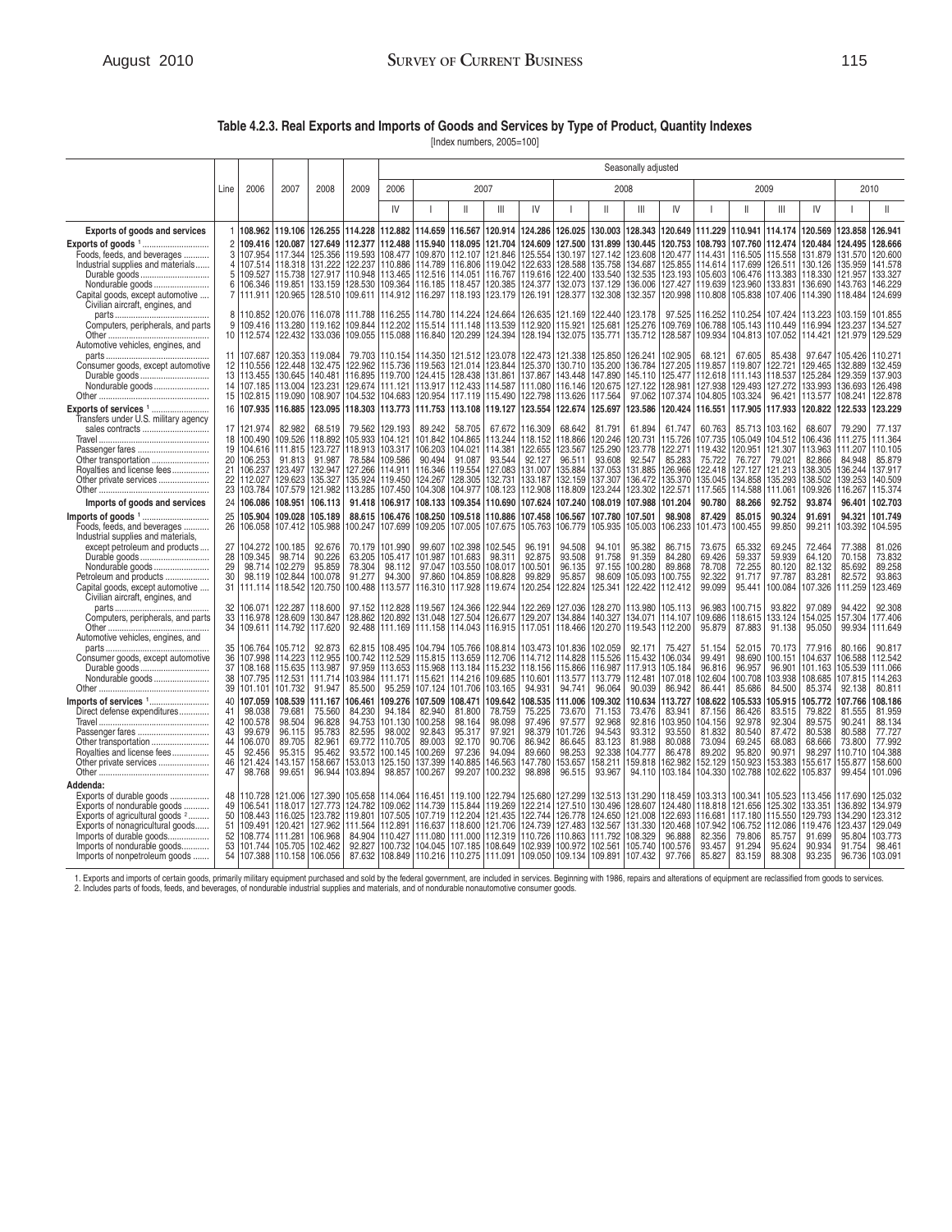## **Table 4.2.3. Real Exports and Imports of Goods and Services by Type of Product, Quantity Indexes**

[Index numbers, 2005=100]

|                                                                                                                                                                                                                                                   |                                              |                                                                                                  |                                                                                              |                                                                                    | Seasonally adjusted                                                             |                                                                                                     |                                                                                    |                                                                                               |                                                                                    |                                                                                     |                                                                                    |                                                                                    |                                                                                                   |                                                                                    |                                                                                   |                                                                                                        |                                                                                    |                                                                                   |                                                                                   |                                                                                    |
|---------------------------------------------------------------------------------------------------------------------------------------------------------------------------------------------------------------------------------------------------|----------------------------------------------|--------------------------------------------------------------------------------------------------|----------------------------------------------------------------------------------------------|------------------------------------------------------------------------------------|---------------------------------------------------------------------------------|-----------------------------------------------------------------------------------------------------|------------------------------------------------------------------------------------|-----------------------------------------------------------------------------------------------|------------------------------------------------------------------------------------|-------------------------------------------------------------------------------------|------------------------------------------------------------------------------------|------------------------------------------------------------------------------------|---------------------------------------------------------------------------------------------------|------------------------------------------------------------------------------------|-----------------------------------------------------------------------------------|--------------------------------------------------------------------------------------------------------|------------------------------------------------------------------------------------|-----------------------------------------------------------------------------------|-----------------------------------------------------------------------------------|------------------------------------------------------------------------------------|
|                                                                                                                                                                                                                                                   | Line                                         | 2006                                                                                             | 2007                                                                                         | 2008                                                                               | 2009                                                                            | 2006                                                                                                |                                                                                    |                                                                                               | 2007                                                                               |                                                                                     |                                                                                    |                                                                                    | 2008                                                                                              |                                                                                    |                                                                                   |                                                                                                        | 2009                                                                               |                                                                                   |                                                                                   | 2010                                                                               |
|                                                                                                                                                                                                                                                   |                                              |                                                                                                  |                                                                                              |                                                                                    |                                                                                 | IV                                                                                                  |                                                                                    | Ш                                                                                             | Ш                                                                                  | IV                                                                                  |                                                                                    | Ш                                                                                  | Ш                                                                                                 | IV                                                                                 |                                                                                   | Ш                                                                                                      | Ш                                                                                  | IV                                                                                |                                                                                   |                                                                                    |
| <b>Exports of goods and services</b>                                                                                                                                                                                                              |                                              | 108.962                                                                                          | 119.106                                                                                      | 126.255                                                                            | 114.228                                                                         | 112.882                                                                                             | 114.659                                                                            | 116.567                                                                                       | 120.914                                                                            | 124.286                                                                             | 126.025                                                                            | 130.003                                                                            | 128.343                                                                                           | 120.649                                                                            | 111.229                                                                           | 110.941                                                                                                | 114.174                                                                            | 120.569                                                                           | 123.858                                                                           | 126.941                                                                            |
| Exports of goods 1<br>Foods, feeds, and beverages<br>Industrial supplies and materials<br>Durable goods<br>Nondurable goods<br>Capital goods, except automotive<br>Civilian aircraft, engines, and                                                | $\overline{c}$<br>3<br>4<br>5<br>6<br>7      | 109.416<br>107.954<br>106.346<br>111.911                                                         | 120.087<br>117.344<br>107.514 118.318<br>109.527 115.738<br>119.851<br>120.965               | 127.649<br>125.356<br>128.510 109.611                                              | 112,377<br>119.593<br>133.159 128.530                                           | 112.488<br>108.477<br>131.222 122.237 110.886<br>127.917   110.948   113.465<br>109.364<br>114.912  | 115.940<br>109.870<br>114.789<br>112.516<br>116.185<br>116.297                     | 118.095<br>112.107<br>116.806<br>114.051<br>118.457<br>118.193                                | 121.704<br>121.846<br>119.042<br>116.767<br>120.385<br>123.179                     | 124.609<br>125.554<br>122.633<br>119.616<br>124.377<br>126.191                      | 127.500<br>130.197<br>128.588<br>122.400<br>132.073<br>128.377                     | 131.899<br>127.142<br>135.758<br>133.540<br>137.129<br>132.308                     | 130.445<br>123.608<br>134,687<br>136.006<br>132.357                                               | 120.753<br>120.477<br>132.535 123.193<br>127.427                                   | 119.639<br>120.998 110.808                                                        | 108.793 107.760<br>114.431 116.505<br>125.855 114.614 117.699<br>105.603 106.476<br>123.960<br>105.838 | 112.474<br>115.558<br>126.511<br>113.383<br>133.831<br>107.406                     | 120.484<br>131.879<br>130.126<br>118.330<br>136.690<br>114.390                    | 124.495<br>131.570<br>135.959<br>121.957<br>143.763<br>118.484                    | 128,666<br>120.600<br>141.578<br>133.327<br>146.229<br>124.699                     |
| Computers, peripherals, and parts<br>Automotive vehicles, engines, and                                                                                                                                                                            | 8<br>9                                       | 110.852<br>109.416                                                                               | 120.076<br>113.280<br>10   112.574   122.432                                                 | 116.078<br>119.162                                                                 | 111.788<br>109.844                                                              | 116.255<br>112.202<br>133.036   109.055   115.088                                                   | 114.780<br>115.514<br>116.840                                                      | 114.224<br>111.148<br>120.299                                                                 | 124.664<br>113.539<br>124.394                                                      | 126.635<br>112.920<br>128.194                                                       | 121.169<br>115.921<br>132.075                                                      | 122.440<br>125.681                                                                 | 123.178<br>125.276<br>135.771   135.712                                                           | 97.525<br>109.769<br>128.587                                                       | 116.252<br>106.788<br>109.934                                                     | 110.254<br>105.143<br>104.813                                                                          | 107.424<br>110.449<br>107.052                                                      | 113.223<br>116.994<br>114.421                                                     | 103.159<br>123.237<br>121.979 129.529                                             | 101.855<br>134.527                                                                 |
| Consumer goods, except automotive<br>Durable goods<br>Nondurable goods<br>Exports of services 1                                                                                                                                                   | 13 <sup>1</sup><br>15<br>16                  | 11 107.687<br>12 110.556<br>113.455<br>102.815<br>107.935                                        | 120.353<br>122.448<br>130.645<br>14   107.185   113.004<br>119.090<br>116.885                | 119.084<br>132.475<br>140.481<br>123.231<br>108.907<br>123.095                     | 79.703<br>122.962<br>104.532                                                    | 110.154<br>115.736<br>116.895 119.700<br>129.674 111.121<br>104.683<br>118.303 113.773              | 114.350<br>119.563<br>124.415<br>113.917<br>120.954<br>111.753                     | 121.512<br>121.014<br>128.438<br>112.433<br>117.119<br>113.108                                | 123.078<br>123.844<br>131.861<br>114.587<br>115.490<br>119.127                     | 122.473<br>125.370<br>137.867<br>111.080<br>122.798<br>123.554                      | 121.338<br>130.710<br>143.448<br>116.146<br>113.626<br>122.674                     | 125.850<br>135.200<br>147.890<br>120.675<br>117.564<br>125.697                     | 126.241<br>136.784<br>145.110 125.477<br>127.122<br>97.062<br>123.586                             | 102.905<br>127.205<br>128.981<br>107.374                                           | 68.121<br>119.857<br>112.618<br>127.938<br>104.805<br>120.424 116.551             | 67.605<br>119.807<br>111.143<br>129.493<br>103.324<br>117.905                                          | 85.438<br>122.721<br>118.537<br>127.272<br>96.421<br>117.933                       | 97.647<br>129.465<br>125.284<br>133.993<br>113.577<br>120.822                     | 105.426<br>132.889<br>129.359<br>136.693<br>108.241<br>122.533                    | 110.271<br>132.459<br>137.903<br>126.498<br>122.878<br>123.229                     |
| Transfers under U.S. military agency<br>sales contracts<br>Passenger fares<br>Other transportation<br>Royalties and license fees<br>Other private services                                                                                        | 21<br>22<br>23<br>24                         | 17 121.974<br>18 100.490<br>19 104.616<br>20 106.253<br>106.237<br>112.027<br>103.784<br>106.086 | 82.982<br>109.526<br>111.815<br>91.813<br>123.497<br>129.623<br>107.579<br>108.951           | 68.519<br>118.892<br>123.727<br>91.987<br>132.947<br>135.327<br>121.982<br>106.113 | 79.562<br>105.933<br>118.913<br>135.924<br>113.285<br>91.418                    | 129.193<br>104.121<br>103.317<br>78.584 109.586<br>127.266 114.911<br>119.450<br>107.450<br>106.917 | 89.242<br>101.842<br>106.203<br>90.494<br>116.346<br>124.267<br>104.308<br>108.133 | 58.705<br>104.865<br>104.021<br>91.087<br>119.554<br>128.305<br>104.977<br>109.354            | 67.672<br>113.244<br>114.381<br>93.544<br>127.083<br>132.731<br>108.123<br>110.690 | 116.309<br>118.152<br>122.655<br>92.127<br>131.007<br>133.187<br>112.908<br>107.624 | 68.642<br>118.866<br>123.567<br>96.511<br>135.884<br>132.159<br>118.809<br>107.240 | 81.791<br>120.246<br>125.290<br>93.608<br>137.053<br>137.307<br>123.244<br>108.019 | 61.894<br>120.731<br>123,778<br>92.547<br>131.885<br>136.472<br>123.302<br>107.988                | 61.747<br>115.726<br>122.271<br>85.283<br>126.966<br>135.370<br>122.571<br>101.204 | 60.763<br>107.735<br>119.432<br>75.722<br>122.418<br>135.045<br>117.565<br>90.780 | 85.713<br>105.049<br>120.951<br>76.727<br>127.127<br>134.858<br>114.588<br>88.266                      | 103.162<br>104.512<br>121.307<br>79.021<br>121.213<br>135.293<br>111.061<br>92.752 | 68.607<br>106.436<br>113.963<br>82.866<br>138.305<br>138.502<br>109.926<br>93.874 | 79.290<br>111.275<br>111.207<br>84.948<br>136.244<br>139.253<br>116.267<br>96.401 | 77.137<br>111.364<br>110.105<br>85.879<br>137.917<br>140.509<br>115.374<br>102.703 |
| Imports of goods and services<br>Imports of goods 1<br>Foods, feeds, and beverages                                                                                                                                                                | 25<br>26                                     | 105.904<br>106.058                                                                               | 109.028<br>107.412                                                                           | 105.189<br>105.988                                                                 | 88.615<br>100.247                                                               | 106.476<br>107.699                                                                                  | 108.250<br>109.205                                                                 | 109.518<br>107.005                                                                            | 110.886<br>107.675                                                                 | 107.458<br>105.763                                                                  | 106.567<br>106.779                                                                 | 107.780<br>105.935                                                                 | 107.501<br>105.003                                                                                | 98,908<br>106.233                                                                  | 87.429<br>101.473                                                                 | 85,015<br>100.455                                                                                      | 90.324<br>99.850                                                                   | 91.691<br>99.211                                                                  | 94.321<br>103.392                                                                 | 101.749<br>104.595                                                                 |
| Industrial supplies and materials,<br>except petroleum and products<br>Durable goods<br>Nondurable goods<br>Petroleum and products<br>Capital goods, except automotive<br>Civilian aircraft, engines, and                                         | 27<br>28<br>29<br>30<br>31                   | 104.272<br>109.345<br>98.714<br>98.119<br>111.114                                                | 100.185<br>98.714<br>102.279<br>102.844<br>118.542                                           | 92.676<br>90.226<br>95.859<br>100.078<br>120.750                                   | 70.179<br>63.205<br>78.304<br>91.277<br>100.488                                 | 101.990<br>105.417<br>98.112<br>94.300<br>113.577                                                   | 99.607<br>01.987<br>97.047<br>97.860<br>116.310                                    | 102.398<br>101.683<br>103.550<br>104.859<br>117.928                                           | 102.545<br>98.311<br>108.017<br>108.828<br>119.674                                 | 96.191<br>92.875<br>100.501<br>99.829<br>120.254                                    | 94.508<br>93.508<br>96.135<br>95.857<br>122.824                                    | 94.101<br>91.758<br>97.155<br>98.609<br>125.341                                    | 95.382<br>91.359<br>100.280<br>105.093<br>122.422                                                 | 86.715<br>84.280<br>89.868<br>100.755<br>112.412                                   | 73.675<br>69.426<br>78.708<br>92.322<br>99.099                                    | 65.332<br>59.337<br>72.255<br>91.717<br>95.441                                                         | 69.245<br>59.939<br>80.120<br>97.787<br>100.084                                    | 72.464<br>64.120<br>82.132<br>83.281<br>107.326                                   | 77.388<br>70.158<br>85.692<br>82.572<br>111.259                                   | 81.026<br>73.832<br>89.258<br>93.863<br>123.469                                    |
| Computers, peripherals, and parts<br>Automotive vehicles, engines, and                                                                                                                                                                            | 32<br>33<br>34                               | 106.071<br>116.978<br>109.611                                                                    | 122.287<br>128.609<br>114.792                                                                | 118.600<br>130.847<br>117.620                                                      | 97.152<br>128.862<br>92.488                                                     | 112.828<br>120.892<br>111.169                                                                       | 19.567<br>131.048<br>111.158                                                       | 124.366<br>127.504<br>114.043                                                                 | 122.944<br>126.677<br>116.915                                                      | 122.269<br>129.207<br>117.051                                                       | 127.036<br>134.884<br>118,466                                                      | 128.270<br>140.327<br>120.270                                                      | 113.980<br>134.071<br>119.543                                                                     | 105.113<br>114.107<br>112.200                                                      | 96.983<br>109.686<br>95.879                                                       | 100.715<br>118.615<br>87.883                                                                           | 93.822<br>33.124<br>91.138                                                         | 97.089<br>154.025<br>95.050                                                       | 94.422<br>157.304<br>99.934                                                       | 92.308<br>177.406<br>111.649                                                       |
| Consumer goods, except automotive<br>Durable goods<br>Nondurable goods                                                                                                                                                                            | 35<br>36<br>37<br>38<br>39                   | 106.764<br>107.998<br>108.168<br>107.795<br>101.101                                              | 105.712<br>114.223<br>115.635<br>112.531<br>101.732                                          | 92.873<br>112.955<br>113.987<br>111.714<br>91.947                                  | 62.815<br>100.742<br>103.984<br>85.500                                          | 108.495<br>112.529<br>97.959 113.653<br>111.171<br>95.259                                           | 104.794<br>115.815<br>115.968<br>115.621<br>107.124                                | 105.766<br>113.659<br>113.184<br>114.216<br>101.706                                           | 108.814<br>112.706<br>115.232<br>109.685<br>103.165                                | 103.473<br>114.712<br>118.156<br>110.601<br>94.931                                  | 101.836<br>114.828<br>115.866<br>113.577<br>94.741                                 | 102.059<br>115.526<br>116.987<br>113.779<br>96.064                                 | 92.171<br>115.432<br>117.913<br>112.481<br>90.039                                                 | 75.427<br>106.034<br>105.184<br>107.018<br>86.942                                  | 51.154<br>99.491<br>96.816<br>102.604<br>86.441                                   | 52.015<br>98.690<br>96.957<br>100.708<br>85.686                                                        | 70.173<br>100.151<br>96.901<br>103.938<br>84.500                                   | 77.916<br>104.637<br>101.163<br>108.685<br>85.374                                 | 80.166<br>106.588<br>105.539<br>107.815<br>92.138                                 | 90.817<br>112.542<br>111.066<br>114.263<br>80.811                                  |
| Imports of services 1<br>Direct defense expenditures<br>Passenger fares<br>Other transportation<br>Royalties and license fees<br>Other private services                                                                                           | 40<br>41<br>42<br>43<br>44<br>45<br>46<br>47 | 107.059<br>98.038<br>100.578<br>99.679<br>106.070<br>92.456<br>121.424<br>98.768                 | 108.539<br>79.681<br>98.504<br>96.115<br>89.705<br>95.315<br>143.157<br>99.651               | 111.167<br>75.560<br>96.828<br>95.783<br>82.961<br>95.462<br>158.667<br>96.944     | 106.461<br>84.230<br>94.753<br>82.595<br>69.772<br>93.572<br>153.013<br>103.894 | 109.276<br>94.184<br>101.130<br>98.002<br>110.705<br>100.145<br>125.150<br>98.857                   | 07.509<br>82.940<br>00.258<br>92.843<br>89.003<br>100.269<br>137.399<br>100.267    | 108.471<br>81.800<br>98.164<br>95.317<br>92.170<br>97.236<br>140.885<br>99.207                | 109.642<br>78.759<br>98.098<br>97.921<br>90.706<br>94.094<br>146.563<br>100.232    | 108.535<br>75.225<br>97.496<br>98.379<br>86.942<br>89.660<br>147.780<br>98.898      | 111.006<br>73.670<br>97.577<br>101.726<br>86.645<br>98.253<br>153.657<br>96.515    | 109.302<br>71.153<br>92.968<br>94.543<br>83.123<br>92.338<br>158.211<br>93.967     | 110.634<br>73.476<br>92.816<br>93.312<br>81.988<br>104.777<br>159.818<br>94.110                   | 113.727<br>83.941<br>103.950<br>93.550<br>80.088<br>86.478<br>162.982<br>103.184   | 108.622<br>87.156<br>104.156<br>81.832<br>73.094<br>89.202<br>152.129<br>104.330  | 105.533<br>86.426<br>92.978<br>80.540<br>69.245<br>95.820<br>150.923<br>102.788                        | 105.915<br>83.515<br>92.304<br>87.472<br>68.083<br>90.971<br>153.383<br>102.622    | 105.772<br>79.822<br>89.575<br>80.538<br>68.666<br>98.297<br>155.617<br>105.837   | 107.766<br>81.555<br>90.241<br>80.588<br>73.800<br>110.710<br>155.877<br>99.454   | 108.186<br>81.959<br>88.134<br>77.727<br>77.992<br>104.388<br>158.600<br>101.096   |
| Addenda:<br>Exports of durable goods<br>Exports of nondurable goods<br>Exports of agricultural goods <sup>2</sup><br>Exports of nonagricultural goods<br>Imports of durable goods<br>Imports of nondurable goods<br>Imports of nonpetroleum goods | 48<br>49<br>51<br>52<br>53<br>54             | 110.728<br>106.541<br>109.491<br>108.774<br>101.744                                              | 121.006<br>118.017<br>50 108.443 116.025<br>120.421<br>111.281<br>105.705<br>107.388 110.158 | 127.390<br>127.773<br>123.782<br>127.962<br>106.968<br>102.462<br>106.056          | 105.658<br>124.782<br>119.801<br>111.564<br>84.904<br>92.827                    | 114.064<br>109.062<br>107.505<br>112.891<br>110.427<br>100.732<br>87.632 108.849                    | 116.451<br>114.739<br>107.719<br>116.637<br>111.080<br>104.045                     | 119.100<br>115.844<br>112.204<br>118.600<br>111.000<br>107.185<br>110.216   110.275   111.091 | 122.794<br>119.269<br>121.435<br>121.706<br>112.319<br>108.649                     | 125.680<br>122.214<br>122.744<br>124.739<br>110.726<br>102.939<br>109.050 109.134   | 127.299<br>127.510<br>126.778<br>127.483<br>110.863<br>100.972                     | 132.513<br>130.496<br>124.650<br>111.792<br>102.561                                | 131.290<br>128.607<br>121.008 122.693<br>132.567 131.330<br>108.329<br>105.740<br>109.891 107.432 | 118.459<br>124.480<br>120.468<br>96.888<br>100.576<br>97.766                       | 116.681<br>107.942<br>82.356<br>93.457<br>85.827                                  | 103.313 100.341<br>118.818 121.656<br>117.180<br>106.752<br>79.806<br>91.294<br>83.159                 | 105.523<br>125.302<br>115.550<br>112.086<br>85.757<br>95.624<br>88.308             | 113.456<br>133.351<br>129.793<br>119.476<br>91.699<br>90.934<br>93.235            | 117.690<br>136.892<br>134.290<br>123.437<br>95.804<br>91.754<br>96.736            | 125.032<br>134.979<br>123.312<br>129.049<br>103.773<br>98.461<br>103.091           |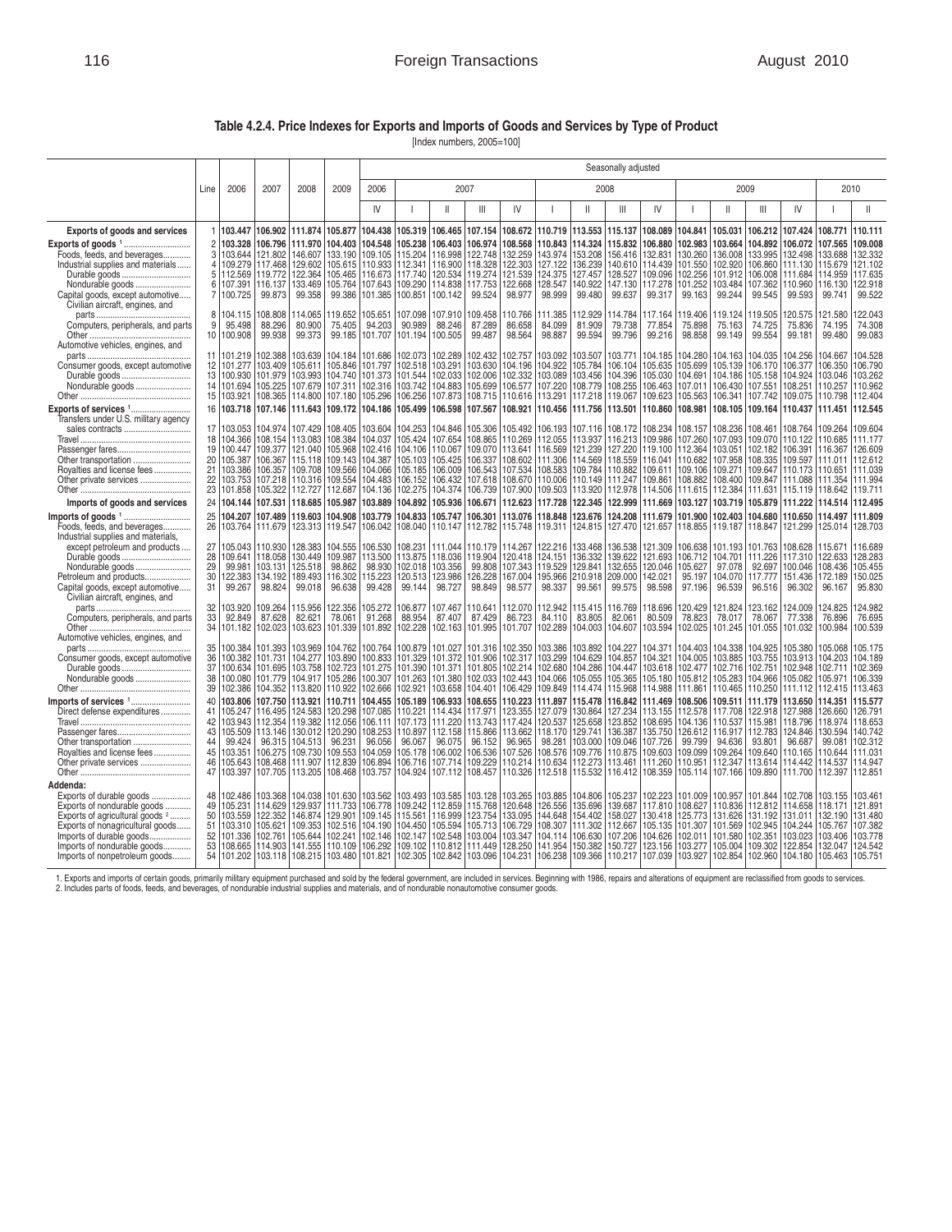## **Table 4.2.4. Price Indexes for Exports and Imports of Goods and Services by Type of Product**

[Index numbers, 2005=100]

|                                                                                                                                                                                                                                                   |                                              |                                                                           |                                                                        |                                                                                                                                                                                                                            | Seasonally adjusted                                   |                                                               |                                                                                                                      |                                                                                      |                                                                                      |                                                                                     |                                                                                              |                                                                                      |                               |                                                                                                                                           |                                                                                                                             |                                                                                             |                                                                           |                                                                                             |                                                                                                                                            |                                                                           |
|---------------------------------------------------------------------------------------------------------------------------------------------------------------------------------------------------------------------------------------------------|----------------------------------------------|---------------------------------------------------------------------------|------------------------------------------------------------------------|----------------------------------------------------------------------------------------------------------------------------------------------------------------------------------------------------------------------------|-------------------------------------------------------|---------------------------------------------------------------|----------------------------------------------------------------------------------------------------------------------|--------------------------------------------------------------------------------------|--------------------------------------------------------------------------------------|-------------------------------------------------------------------------------------|----------------------------------------------------------------------------------------------|--------------------------------------------------------------------------------------|-------------------------------|-------------------------------------------------------------------------------------------------------------------------------------------|-----------------------------------------------------------------------------------------------------------------------------|---------------------------------------------------------------------------------------------|---------------------------------------------------------------------------|---------------------------------------------------------------------------------------------|--------------------------------------------------------------------------------------------------------------------------------------------|---------------------------------------------------------------------------|
|                                                                                                                                                                                                                                                   | Line                                         | 2006                                                                      | 2007                                                                   | 2008                                                                                                                                                                                                                       | 2009                                                  | 2006                                                          |                                                                                                                      |                                                                                      | 2007                                                                                 |                                                                                     |                                                                                              |                                                                                      | 2008                          |                                                                                                                                           |                                                                                                                             |                                                                                             | 2009                                                                      |                                                                                             |                                                                                                                                            | 2010                                                                      |
|                                                                                                                                                                                                                                                   |                                              |                                                                           |                                                                        |                                                                                                                                                                                                                            |                                                       | IV                                                            |                                                                                                                      | Ш                                                                                    | Ш                                                                                    | IV                                                                                  |                                                                                              | $\mathbf{I}$                                                                         | Ш                             | IV                                                                                                                                        |                                                                                                                             | $\mathbf{I}$                                                                                | Ш                                                                         | IV                                                                                          |                                                                                                                                            |                                                                           |
| <b>Exports of goods and services</b>                                                                                                                                                                                                              | 1                                            | 103.447                                                                   |                                                                        | 106.902 111.874                                                                                                                                                                                                            | 105,877                                               | 104.438                                                       | 105.319                                                                                                              | 106.465                                                                              | 107.154                                                                              | 108.672                                                                             | 110.719                                                                                      | 113.553                                                                              | 115.137                       | 108.089                                                                                                                                   | 104.841                                                                                                                     | 105.031                                                                                     | 106.212                                                                   | 107.424                                                                                     | 108.771                                                                                                                                    | 110.111                                                                   |
| Foods, feeds, and beverages<br>Industrial supplies and materials<br>Durable goods<br>Nondurable goods<br>Capital goods, except automotive<br>Civilian aircraft, engines, and                                                                      | $\overline{c}$<br>3<br>4<br>5<br>6<br>7      | 103.328<br>103.644<br>112.569 119.772<br>107.391<br>100.725               | 106.796<br>121.802<br>109.279 117.468<br>116.137<br>99.873             | 111.970 104.403<br>146.607 133.190<br>129.602 105.615<br>99.358                                                                                                                                                            | 122.364 105.465<br>133.469 105.764<br>99.386          | 104.548<br>109.105<br>101.385                                 | 105.238<br>115.204<br>110.933 112.341<br>116.673 117.740<br>107.643 109.290<br>100.851                               | 106.403<br>116.998<br>120.534<br>114.838<br>100.142                                  | 106.974<br>122.748<br>116.900 118.328<br>119.274<br>117.753<br>99.524                | 108.568<br>132.259<br>122.303<br>121.539<br>122.668<br>98.977                       | 110,843<br>143.974<br>127.122<br>124.375<br>128.547<br>98.999                                | 114.324<br>153.208<br>136.239<br>127.457<br>140.922<br>99.480                        | 99.637                        | 115,832 106,880<br>156.416 132.831<br>140.610 114.439<br>128.527 109.096<br>147.130 117.278<br>99.317                                     | 102.983<br>130.260<br>101.550<br>102.256<br>101.252<br>99.163                                                               | 103.664<br>136.008<br>102.920<br>101.912<br>103.484<br>99.244                               | 104.892<br>133.995<br>106.860<br>106.008<br>107.362<br>99.545             | 106.072<br>132.498<br>111.130<br>111.684<br>110.960<br>99.593                               | 107.565<br>133.688<br>115.679<br>114.959<br>116.130<br>99.741                                                                              | 109,008<br>132.332<br>121.102<br>117.635<br>122.918<br>99.522             |
| Computers, peripherals, and parts<br>Automotive vehicles, engines, and                                                                                                                                                                            | 8<br>9<br>10                                 | 104.115<br>95.498<br>100.908                                              | 108.808<br>88.296<br>99.938                                            | 114.065<br>80.900<br>99.373                                                                                                                                                                                                | 119.652<br>75.405<br>99.185                           | 105.651<br>94.203<br>101.707                                  | 107.098<br>90.989<br>101.194                                                                                         | 107.910<br>88.246<br>100.505                                                         | 109.458<br>87.289<br>99.487                                                          | 110.766<br>86.658<br>98.564                                                         | 111.385<br>84.099<br>98.887                                                                  | 112.929<br>81.909<br>99.594                                                          | 14.784<br>79.738<br>99.796    | 117.164<br>77.854<br>99.216                                                                                                               | 119.406<br>75.898<br>98.858                                                                                                 | 119.124<br>75.163<br>99.149                                                                 | 119.505<br>74.725<br>99.554                                               | 120.575<br>75.836<br>99.181                                                                 | 121.580<br>74.195<br>99.480                                                                                                                | 122.043<br>74.308<br>99.083                                               |
| Consumer goods, except automotive<br>Durable goods<br>Nondurable goods<br>Exports of services 1                                                                                                                                                   | 11<br>12<br>13<br>14<br>15<br>16             | 101.219<br>100.930<br>101.694<br>103.921<br>103.718                       | 102.388<br>101.277 103.409<br>101.979<br>105.225<br>108.365<br>107.146 | 103.993 104.740<br>107.679 107.311<br>114.800 107.180<br>111.643 109.172                                                                                                                                                   | 103.639 104.184<br>105.611 105.846                    | 101.686<br>105.296<br>104.186                                 | 102.073<br>101.797 102.518<br>101.373 101.544<br>102.316 103.742<br>106.256<br>105.499                               | 102.289<br>103.291<br>102.033<br>104.883<br>107.873<br>106.598                       | 102.432<br>103.630<br>102.006<br>105.699<br>108.715<br>107.567                       | 102.757<br>104.196<br>102.332<br>106.577<br>110.616<br>108.921                      | 103.092<br>104.922<br>103.089<br>107.220<br>113.291<br>110.456                               | 103.507<br>105.784<br>103.456<br>108.779<br>117.218<br>111.756                       | 103.771<br>119.067<br>113.501 | 104.185<br>106.104 105.635<br>104.396 105.030<br>108.255 106.463<br>109.623<br>110.860                                                    | 104.280<br>105.699<br>104.691<br>107.011<br>105.563<br>108.981                                                              | 104.163<br>105.139<br>104.186<br>106.430<br>106.341<br>108.105                              | 104.035<br>106.170<br>105.158<br>107.551<br>107.742<br>109.164            | 104.256<br>106.377<br>104.924<br>108.251<br>109.075<br>110.437                              | 104.667<br>106.350<br>103.046<br>110.257<br>110.798 112.404<br>111.451                                                                     | 104.528<br>106.790<br>103.262<br>110.962<br>112.545                       |
| Transfers under U.S. military agency<br>sales contracts<br>Passenger fares<br>Other transportation<br>Royalties and license fees<br>Other private services                                                                                        | 17<br>18<br>19<br>20<br>21<br>22<br>23<br>24 | 103.053<br>104.366<br>100.447<br>105.387<br>103.753<br>101.858<br>104.144 | 105.322<br>107.531                                                     | 104.974   107.429   108.405<br>108.154 113.083 108.384<br>109.377 121.040 105.968<br>106.367   115.118   109.143<br>103.386   106.357   109.708   109.566<br>107.218 110.316 109.554<br>112.727 112.687<br>118,685 105,987 |                                                       | 103.604<br>104.037<br>104.136<br>103.889                      | 104.253<br>105.424<br>102.416 104.106<br>104.387 105.103<br>104.066 105.185<br>104.483 106.152<br>102.275<br>104.892 | 104.846<br>107.654<br>110.067<br>105.425<br>106.009<br>106.432<br>104.374<br>105.936 | 105.306<br>108.865<br>109.070<br>106.337<br>106.543<br>107.618<br>106.739<br>106.671 | 105.492<br>110.269<br>113.641<br>107.534<br>108.670<br>107.900<br>112.623           | 106.193<br>112.055<br>116.569<br>108.602 111.306<br>108.583<br>110.006<br>109.503<br>117.728 | 107.116<br>113.937<br>121.239<br>114.569<br>110.149<br>113.920<br>122.345            | 111.247 109.861               | 108.172 108.234<br>116.213 109.986<br>127.220 119.100<br>118.559 116.041<br>109.784 110.882 109.611<br>112.978 114.506<br>122.999 111.669 | 108.157<br>107.260<br>112.364<br>110.682<br>109.106 109.271<br>108.882<br>111.615<br>103.127                                | 108.236<br>107.093<br>103.051<br>107.958<br>108.400<br>112.384<br>103.719                   | 108.461<br>109.070<br>102.182<br>108.335<br>109.847<br>111.631<br>105.879 | 108.764<br>110.122<br>106.391<br>109.597<br>111.088<br>111.222                              | 109.264<br>110.685<br>116.367<br>111.011<br>109.647   110.173   110.651   111.039<br>111.354<br>115.119 118.642 119.711<br>114.514 112.495 | 109.604<br>111.177<br>126,609<br>112.612<br>111.994                       |
| Imports of goods and services<br>Foods, feeds, and beverages<br>Industrial supplies and materials,                                                                                                                                                | 25<br>26                                     | 104.207<br>103.764                                                        | 107.489                                                                | 119,603 104,908<br>111.679 123.313 119.547                                                                                                                                                                                 |                                                       | 103.779                                                       | 104.833<br>106.042 108.040                                                                                           | 105.747<br>110.147                                                                   | 106.301<br>112.782                                                                   | 113.076                                                                             | 118,848<br>115.748 119.311                                                                   | 123.676                                                                              | 124.208                       | 111.679<br>124.815   127.470   121.657                                                                                                    | 101.900<br>118.855 119.187                                                                                                  | 102.403                                                                                     | 104.680<br>118.847                                                        | 110.650<br>121.299                                                                          | 114.497<br>125.014 128.703                                                                                                                 | 111.809                                                                   |
| except petroleum and products<br>Nondurable goods<br>Petroleum and products<br>Capital goods, except automotive<br>Civilian aircraft, engines, and                                                                                                | 27<br>28<br>29<br>30<br>31                   | 105.043<br>109.641<br>99.981<br>122.383<br>99.267                         | 110.930<br>103.131<br>134.192<br>98.824                                | 128.383 104.555<br>118.058 130.449 109.987<br>125.518<br>189.493 116.302<br>99.018                                                                                                                                         | 98.862<br>96.638                                      | 106.530<br>98.930<br>115.223<br>99.428                        | 108.231<br>113.500 113.875<br>102.018<br>120.513<br>99.144                                                           | 111.044<br>118.036<br>103.356<br>123.986<br>98.727                                   | 110.179<br>119.904<br>99.808<br>126.228<br>98.849                                    | 114.267<br>120.418<br>107.343<br>167.004<br>98.577                                  | 122.216<br>124.151<br>119.529<br>195.966<br>98.337                                           | 133.468<br>136.332<br>129.841<br>210.918<br>99.561                                   | 136.538<br>209.000<br>99.575  | 121.309<br>139.622 121.693<br>132.655 120.046<br>142.021<br>98.598                                                                        | 106.638<br>106.712<br>105.627<br>95.197<br>97.196                                                                           | 101.193<br>104.701<br>97.078<br>104.070<br>96.539                                           | 101.763<br>111.226<br>92.697<br>117.777<br>96.516                         | 108.628<br>117.310<br>100.046<br>151.436<br>96.302                                          | 115.671<br>122.633<br>108.436<br>172.189<br>96.167                                                                                         | 116.689<br>128,283<br>105.455<br>150.025<br>95.830                        |
| Computers, peripherals, and parts<br>Automotive vehicles, engines, and                                                                                                                                                                            | 32<br>33<br>34                               | 103.920<br>92.849<br>101.182                                              | 109.264<br>87.628<br>102.023                                           | 115.956<br>82.621<br>103.623                                                                                                                                                                                               | 122.356<br>78.061<br>101.339                          | 105.272<br>91.268<br>101.892                                  | 106.877<br>88.954<br>102.228                                                                                         | 107.467<br>87.407<br>102.163                                                         | 110.641<br>87.429<br>101.995                                                         | 112.070<br>86.723<br>101.707                                                        | 112.942<br>84.110<br>102.289                                                                 | 115.415<br>83.805<br>104.003                                                         | 116.769<br>82.061<br>104.607  | 118.696<br>80.509<br>103.594                                                                                                              | 120.429<br>78.823<br>102.025                                                                                                | 121.824<br>78.017<br>101.245                                                                | 123.162<br>78.067<br>101.055                                              | 124.009<br>77.338<br>101.032                                                                | 124.825<br>76.896<br>100.984                                                                                                               | 124.982<br>76.695<br>100.539                                              |
| Consumer goods, except automotive<br>Durable goods<br>Nondurable goods                                                                                                                                                                            | 35<br>36<br>37<br>38<br>39                   | 100.384<br>100.382<br>100.634<br>100.080                                  | 101.393<br>101.731<br>101.779                                          | 104.277 103.890<br>101.695   103.758   102.723<br>104.917 105.286<br>102.386 104.352 113.820 110.922                                                                                                                       | 103.969 104.762                                       | 100.764                                                       | 100.879<br>100.833 101.329<br>101.275 101.390<br>100.307 101.263<br>102.666 102.921                                  | 101.027<br>101.372<br>101.371<br>101.380<br>103.658                                  | 101.316<br>101.906<br>101.805<br>102.033<br>104.401                                  | 102.350<br>102.317<br>102.214<br>102.443<br>106.429                                 | 103.386<br>103.299<br>102.680<br>104.066<br>109.849                                          | 103.892<br>104.629<br>104.286<br>105.055<br>114.474                                  | 104.227<br>104.857<br>104.447 | 104.371<br>104.321<br>103.618<br>105.365 105.180<br>115.968 114.988                                                                       | 104.403<br>104.005<br>102.477<br>105.812<br>111.861                                                                         | 104.338<br>103.885<br>102.716<br>105.283<br>110.465                                         | 104.925<br>103.755<br>102.751<br>104.966<br>110.250                       | 105.380<br>103.913<br>102.948<br>105.082<br>111.112                                         | 105.068<br>104.203<br>102.711<br>105.971<br>112.415                                                                                        | 105.175<br>104.189<br>102.369<br>106.339<br>113.463                       |
| Imports of services 1<br>Direct defense expenditures<br>Passenger fares<br>Other transportation<br>Royalties and license fees<br>Other private services                                                                                           | 40<br>41<br>42<br>43<br>44<br>45<br>46<br>47 | 105.247<br>105.509<br>99.424<br>103.351<br>105.643<br>103.397             | 113.146<br>96.315<br>106.275<br>108.468                                | 103.806 107.750 113.921 110.711<br>116.495   124.583   120.298<br>103.943 112.354 119.382 112.056<br>130.012 120.290<br>104.513 96.231<br>109.730 109.553<br>111.907 112.839<br>107.705   113.205   108.468                |                                                       | 104.455<br>106.111<br>108.253<br>96.056<br>104.059<br>106.894 | 105.189<br>107.085 110.221<br>107.173<br>110.897<br>96.067<br>105.178<br>106.716<br>103.757 104.924                  | 106.933<br>114.434<br>111.220<br>112.158<br>96.075<br>106.002<br>107.714<br>107.112  | 108.655<br>117.971<br>113.743<br>115.866<br>96.152<br>106.536<br>109.229<br>108.457  | 110.223<br>123.355<br>117.424<br>113.662<br>96.965<br>107.526<br>110.214<br>110.326 | 111.897<br>127.079<br>120.537<br>118.170<br>98.281<br>108.576<br>110.634<br>112.518          | 115.478<br>130.864<br>125.658<br>129.741<br>103.000<br>109.776<br>112.273<br>115.532 | 127.234<br>136.387<br>113.461 | 116.842 111.469<br>113.155<br>123.852 108.695<br>135.750<br>109.046 107.726<br>110.875 109.603<br>111.260<br>116.412 108.359              | 108.506<br>112.578<br>104.136<br>126.612<br>99.799<br>109.099<br>110.951                                                    | 109.511<br>117.708<br>110.537<br>116.917<br>94.636<br>109.264<br>112.347<br>105.114 107.166 | 111.179<br>122.918<br>115.981<br>112.783<br>93.801<br>109.640<br>113.614  | 113,650<br>127.988<br>118.796<br>124.846<br>96.687<br>110.165<br>114.442<br>109.890 111.700 | 114.351<br>126.660<br>118.974<br>130.594<br>99.081<br>110.644<br>114.537<br>112.397 112.851                                                | 115,577<br>126.791<br>118.653<br>140.742<br>102.312<br>111.031<br>114.947 |
| Addenda:<br>Exports of durable goods<br>Exports of nondurable goods<br>Exports of agricultural goods <sup>2</sup><br>Exports of nonagricultural goods<br>Imports of durable goods<br>Imports of nondurable goods<br>Imports of nonpetroleum goods | 48<br>49<br>50<br>51<br>52<br>53<br>54       | 102.486<br>105.231<br>103.559 122.352<br>103.310 105.621<br>101.336       | 103.368<br>114.629<br>102.761                                          | 109.353 102.516<br>105.644 102.241<br>108.665   114.903   141.555   110.109<br>101.202   103.118   108.215   103.480                                                                                                       | 104.038 101.630<br>129.937 111.733<br>146.874 129.901 | 103.562<br>102.146                                            | 103.493<br>106.778 109.242<br>109.145 115.561<br>104.190 104.450<br>102.147<br>106.292 109.102<br>101.821 102.305    | 103.585<br>112.859<br>116.999<br>105.594<br>102.548<br>110.812<br>102.842            | 103.128<br>115.768<br>123.754<br>105.713<br>103.004<br>111.449<br>103.096            | 103.265<br>120.648<br>133.095<br>106.729<br>103.347<br>128.250<br>104.231           | 103.885<br>126.556<br>144.648<br>108.307<br>104.114<br>141.954<br>106.238                    | 104.806<br>135.696<br>154.402<br>111.302<br>106.630<br>150.382<br>109.366            | 105.237<br>150.727            | 102.223<br>139.687 117.810<br>158.027 130.418<br>112.667 105.135<br>107.206 104.626<br>123.156                                            | 101.009<br>108.627<br>125.773<br>101.307<br>102.011<br>103.277<br>110.217   107.039   103.927   102.854   102.960   104.180 | 100.957<br>110.836<br>131.626<br>101.569<br>101.580<br>105.004                              | 101.844<br>112.812<br>131.192<br>102.945<br>102.351<br>109.302            | 102.708<br>114.658<br>131.011<br>104.244<br>103.023<br>122.854                              | 103.155<br>118.171<br>132.190<br>105.767<br>103.406<br>132.047<br>105.463 105.751                                                          | 103.461<br>121.891<br>131.480<br>107.382<br>103.778<br>124.542            |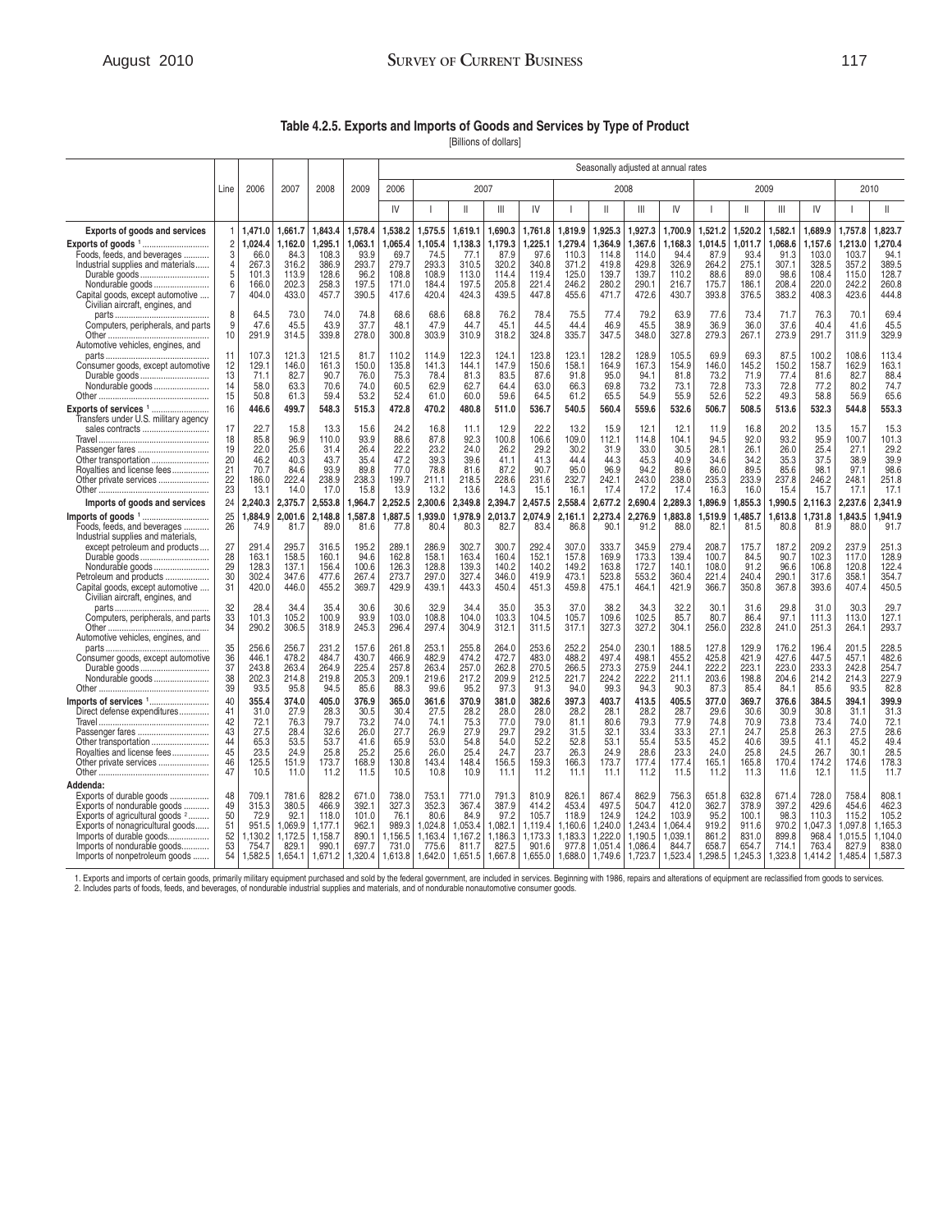# August 2010 **SURVEY OF CURRENT BUSINESS** 117

**Table 4.2.5. Exports and Imports of Goods and Services by Type of Product** 

[Billions of dollars]

|                                                                                                                                                                                                                                                   |                                                           |                                                                |                                                                 |                                                                   | Seasonally adjusted at annual rates                            |                                                                |                                                                  |                                                                  |                                                                 |                                                                 |                                                                |                                                                     |                                                                     |                                                                  |                                                                |                                                                |                                                                |                                                                |                                                                   |                                                                   |
|---------------------------------------------------------------------------------------------------------------------------------------------------------------------------------------------------------------------------------------------------|-----------------------------------------------------------|----------------------------------------------------------------|-----------------------------------------------------------------|-------------------------------------------------------------------|----------------------------------------------------------------|----------------------------------------------------------------|------------------------------------------------------------------|------------------------------------------------------------------|-----------------------------------------------------------------|-----------------------------------------------------------------|----------------------------------------------------------------|---------------------------------------------------------------------|---------------------------------------------------------------------|------------------------------------------------------------------|----------------------------------------------------------------|----------------------------------------------------------------|----------------------------------------------------------------|----------------------------------------------------------------|-------------------------------------------------------------------|-------------------------------------------------------------------|
|                                                                                                                                                                                                                                                   | Line                                                      | 2006                                                           | 2007                                                            | 2008                                                              | 2009                                                           | 2006                                                           |                                                                  | 2007                                                             |                                                                 |                                                                 |                                                                | 2008                                                                |                                                                     |                                                                  |                                                                | 2009                                                           |                                                                |                                                                | 2010                                                              |                                                                   |
|                                                                                                                                                                                                                                                   |                                                           |                                                                |                                                                 |                                                                   |                                                                | IV                                                             |                                                                  | $\mathbf{I}$                                                     | $\mathbb{H}$                                                    | IV                                                              |                                                                | $\mathbf{H}$                                                        | Ш                                                                   | IV                                                               |                                                                | $\mathbf{I}$                                                   | Ш                                                              | IV                                                             |                                                                   | $\mathbf{I}$                                                      |
| <b>Exports of goods and services</b>                                                                                                                                                                                                              | -1                                                        | 1,471.0                                                        | 1,661.7                                                         | 1,843.4                                                           | 1,578.4                                                        | 1,538.2                                                        | 1,575.5                                                          | 1,619.1                                                          | 1,690.3                                                         | 1,761.8                                                         | 1,819.9                                                        | 1,925.3                                                             | 1,927.3                                                             | 1,700.9                                                          | ,521.2                                                         | 1,520.2                                                        | 1,582.1                                                        | 1,689.9                                                        | 1,757.8                                                           | 1.823.7                                                           |
| Foods, feeds, and beverages<br>Industrial supplies and materials<br>Durable goods<br>Nondurable goods<br>Capital goods, except automotive<br>Civilian aircraft, engines, and                                                                      | $\overline{c}$<br>3<br>$\overline{4}$<br>5<br>6<br>7<br>8 | 1,024.4<br>66.0<br>267.3<br>101.3<br>166.0<br>404.0<br>64.5    | 1.162.0<br>84.3<br>316.2<br>113.9<br>202.3<br>433.0<br>73.0     | 1.295.1<br>108.3<br>386.9<br>128.6<br>258.3<br>457.7<br>74.0      | 1,063.1<br>93.9<br>293.7<br>96.2<br>197.5<br>390.5<br>74.8     | 1,065.4<br>69.7<br>279.7<br>108.8<br>171.0<br>417.6<br>68.6    | 1,105.4<br>74.5<br>293.3<br>108.9<br>184.4<br>420.4<br>68.6      | 1,138.3<br>77.1<br>310.5<br>113.0<br>197.5<br>424.3<br>68.8      | 1,179.3<br>87.9<br>320.2<br>114.4<br>205.8<br>439.5<br>76.2     | 225.1<br>97.6<br>340.8<br>119.4<br>221.4<br>447.8<br>78.4       | .279.4<br>110.3<br>371.2<br>125.0<br>246.2<br>455.6<br>75.5    | 1.364.9<br>114.8<br>419.8<br>139.7<br>280.2<br>471.7<br>77.4        | .367.6<br>114.0<br>429.8<br>139.7<br>290.1<br>472.6<br>79.2         | 1.168.3<br>94.4<br>326.9<br>110.2<br>216.7<br>430.7<br>63.9      | 1.014.5<br>87.9<br>264.2<br>88.6<br>175.7<br>393.8<br>77.6     | 1.011.7<br>93.4<br>275.1<br>89.0<br>186.1<br>376.5<br>73.4     | 1,068.6<br>91.3<br>307.1<br>98.6<br>208.4<br>383.2<br>71.7     | 1.157.6<br>103.0<br>328.5<br>108.4<br>220.0<br>408.3<br>76.3   | 1,213.0<br>103.7<br>357.2<br>115.0<br>242.2<br>423.6<br>70.1      | 1.270.4<br>94.1<br>389.5<br>128.7<br>260.8<br>444.8<br>69.4       |
| Computers, peripherals, and parts<br>Automotive vehicles, engines, and                                                                                                                                                                            | 9<br>10                                                   | 47.6<br>291.9                                                  | 45.5<br>314.5                                                   | 43.9<br>339.8                                                     | 37.7<br>278.0                                                  | 48.1<br>300.8                                                  | 47.9<br>303.9                                                    | 44.7<br>310.9                                                    | 45.1<br>318.2                                                   | 44.5<br>324.8                                                   | 44.4<br>335.7                                                  | 46.9<br>347.5                                                       | 45.5<br>348.0                                                       | 38.9<br>327.8                                                    | 36.9<br>279.3                                                  | 36.0<br>267.1                                                  | 37.6<br>273.9                                                  | 40.4<br>291.7                                                  | 41.6<br>311.9                                                     | 45.5<br>329.9                                                     |
| Consumer goods, except automotive<br>Durable goods<br>Nondurable goods<br>Exports of services <sup>1</sup>                                                                                                                                        | 11<br>12<br>13<br>14<br>15<br>16                          | 107.3<br>129.1<br>71.1<br>58.0<br>50.8<br>446.6                | 121.3<br>146.0<br>82.7<br>63.3<br>61.3<br>499.7                 | 121.5<br>161.3<br>90.7<br>70.6<br>59.4<br>548.3                   | 81.7<br>150.0<br>76.0<br>74.0<br>53.2<br>515.3                 | 110.2<br>135.8<br>75.3<br>60.5<br>52.4<br>472.8                | 114.9<br>141.3<br>78.4<br>62.9<br>61.0<br>470.2                  | 122.3<br>144.1<br>81.3<br>62.7<br>60.0<br>480.8                  | 124.1<br>147.9<br>83.5<br>64.4<br>59.6<br>511.0                 | 123.8<br>150.6<br>87.6<br>63.0<br>64.5<br>536.7                 | 123.1<br>158.1<br>91.8<br>66.3<br>61.2<br>540.5                | 128.2<br>164.9<br>95.0<br>69.8<br>65.5<br>560.4                     | 128.9<br>167.3<br>94.1<br>73.2<br>54.9<br>559.6                     | 105.5<br>154.9<br>81.8<br>73.1<br>55.9<br>532.6                  | 69.9<br>146.0<br>73.2<br>72.8<br>52.6<br>506.7                 | 69.3<br>145.2<br>71.9<br>73.3<br>52.2<br>508.5                 | 87.5<br>150.2<br>77.4<br>72.8<br>49.3<br>513.6                 | 100.2<br>158.7<br>81.6<br>77.2<br>58.8<br>532.3                | 108.6<br>162.9<br>82.7<br>80.2<br>56.9<br>544.8                   | 113.4<br>163.1<br>88.4<br>74.7<br>65.6<br>553.3                   |
| Transfers under U.S. military agency<br>sales contracts<br>Passenger fares<br>Other transportation<br>Royalties and license fees<br>Other private services                                                                                        | 17<br>18<br>19<br>20<br>21<br>22<br>23                    | 22.7<br>85.8<br>22.0<br>46.2<br>70.7<br>186.0<br>13.1          | 15.8<br>96.9<br>25.6<br>40.3<br>84.6<br>222.4<br>14.0           | 13.3<br>110.0<br>31.4<br>43.7<br>93.9<br>238.9<br>17.0            | 15.6<br>93.9<br>26.4<br>35.4<br>89.8<br>238.3<br>15.8          | 24.2<br>88.6<br>22.2<br>47.2<br>77.0<br>199.7<br>13.9          | 16.8<br>87.8<br>23.2<br>39.3<br>78.8<br>211.1<br>13.2            | 11.1<br>92.3<br>24.0<br>39.6<br>81.6<br>218.5<br>13.6            | 12.9<br>100.8<br>26.2<br>41.1<br>87.2<br>228.6<br>14.3          | 22.2<br>106.6<br>29.2<br>41.3<br>90.7<br>231.6<br>15.1          | 13.2<br>109.0<br>30.2<br>44.4<br>95.0<br>232.7<br>16.1         | 15.9<br>112.1<br>31.9<br>44.3<br>96.9<br>242.1<br>17.4              | 12.1<br>114.8<br>33.0<br>45.3<br>94.2<br>243.0<br>17.2              | 12.1<br>104.1<br>30.5<br>40.9<br>89.6<br>238.0<br>17.4           | 11.9<br>94.5<br>28.1<br>34.6<br>86.0<br>235.3<br>16.3          | 16.8<br>92.0<br>26.1<br>34.2<br>89.5<br>233.9<br>16.0          | 20.2<br>93.2<br>26.0<br>35.3<br>85.6<br>237.8<br>15.4          | 13.5<br>95.9<br>25.4<br>37.5<br>98.1<br>246.2<br>15.7          | 15.7<br>100.7<br>27.1<br>38.9<br>97.1<br>248.1<br>17.1            | 15.3<br>101.3<br>29.2<br>39.9<br>98.6<br>251.8<br>17.1            |
| Imports of goods and services<br>Imports of goods <sup>1</sup><br>Foods, feeds, and beverages<br>Industrial supplies and materials,                                                                                                               | 24<br>25<br>26                                            | 2,240.3<br>1,884.9<br>74.9                                     | 2,375.7<br>2,001.6<br>81.7                                      | 2,553.8<br>2,148.8<br>89.0                                        | 1,964.7<br>1,587.8<br>81.6                                     | 2,252.5<br>1,887.5<br>77.8                                     | 2,300.6<br>1,939.0<br>80.4                                       | 2,349.8<br>,978.9<br>80.3                                        | 2,394.7<br>2,013.7<br>82.7                                      | 2,457.5<br>2,074.9<br>83.4                                      | 2,558.4<br>2,161.1<br>86.8                                     | 2,677.2<br>2,273.4<br>90.7                                          | 2,690.4<br>2,276.9<br>91.2                                          | 2,289.3<br>1,883.8<br>88.0                                       | 1,896.9<br>,519.9<br>82.1                                      | 1,855.3<br>,485.7<br>81.5                                      | ,990.5<br>.613.8<br>80.8                                       | 2,116.3<br>1,731.8<br>81.9                                     | 2,237.6<br>1,843.5<br>88.0                                        | 2.341.9<br>1.941.9<br>91.7                                        |
| except petroleum and products<br>Durable goods<br>Nondurable goods<br>Petroleum and products<br>Capital goods, except automotive<br>Civilian aircraft, engines, and                                                                               | 27<br>28<br>29<br>30<br>31                                | 291.4<br>163.1<br>128.3<br>302.4<br>420.0                      | 295.7<br>158.5<br>137.1<br>347.6<br>446.0                       | 316.5<br>160.1<br>156.4<br>477.6<br>455.2                         | 195.2<br>94.6<br>100.6<br>267.4<br>369.7                       | 289.1<br>162.8<br>126.3<br>273.7<br>429.9                      | 286.9<br>158.1<br>128.8<br>297.0<br>439.1                        | 302.7<br>163.4<br>139.3<br>327.4<br>443.3                        | 300.7<br>160.4<br>140.2<br>346.0<br>450.4                       | 292.4<br>152.1<br>140.2<br>419.9<br>451.3                       | 307.0<br>157.8<br>149.2<br>473.1<br>459.8                      | 333.7<br>169.9<br>163.8<br>523.8<br>475.1                           | 345.9<br>173.3<br>172.7<br>553.2<br>464.1                           | 279.4<br>139.4<br>140.1<br>360.4<br>421.9                        | 208.7<br>100.7<br>108.0<br>221.4<br>366.7                      | 175.7<br>84.5<br>91.2<br>240.4<br>350.8                        | 187.2<br>90.7<br>96.6<br>290.1<br>367.8                        | 209.2<br>102.3<br>106.8<br>317.6<br>393.6                      | 237.9<br>117.0<br>120.8<br>358.1<br>407.4                         | 251.3<br>128.9<br>122.4<br>354.7<br>450.5                         |
| Computers, peripherals, and parts<br>Automotive vehicles, engines, and                                                                                                                                                                            | 32<br>33<br>34                                            | 28.4<br>101.3<br>290.2                                         | 34.4<br>105.2<br>306.5                                          | 35.4<br>100.9<br>318.9                                            | 30.6<br>93.9<br>245.3                                          | 30.6<br>103.0<br>296.4                                         | 32.9<br>108.8<br>297.4                                           | 34.4<br>104.0<br>304.9                                           | 35.0<br>103.3<br>312.1                                          | 35.3<br>104.5<br>311.5                                          | 37.0<br>105.7<br>317.1                                         | 38.2<br>109.6<br>327.3                                              | 34.3<br>102.5<br>327.2                                              | 32.2<br>85.7<br>304.1                                            | 30.1<br>80.7<br>256.0                                          | 31.6<br>86.4<br>232.8                                          | 29.8<br>97.1<br>241.0                                          | 31.0<br>111.3<br>251.3                                         | 30.3<br>113.0<br>264.1                                            | 29.7<br>127.1<br>293.7                                            |
| Consumer goods, except automotive<br>Durable goods<br>Nondurable goods                                                                                                                                                                            | 35<br>36<br>37<br>38<br>39                                | 256.6<br>446.1<br>243.8<br>202.3<br>93.5                       | 256.7<br>478.2<br>263.4<br>214.8<br>95.8                        | 231.2<br>484.7<br>264.9<br>219.8<br>94.5                          | 157.6<br>430.7<br>225.4<br>205.3<br>85.6                       | 261.8<br>466.9<br>257.8<br>209.1<br>88.3                       | 253.1<br>482.9<br>263.4<br>219.6<br>99.6                         | 255.8<br>474.2<br>257.0<br>217.2<br>95.2                         | 264.0<br>472.7<br>262.8<br>209.9<br>97.3                        | 253.6<br>483.0<br>270.5<br>212.5<br>91.3                        | 252.2<br>488.2<br>266.5<br>221.7<br>94.0                       | 254.0<br>497.4<br>273.3<br>224.2<br>99.3                            | 230.1<br>498.1<br>275.9<br>222.2<br>94.3                            | 188.5<br>455.2<br>244.1<br>211.1<br>90.3                         | 127.8<br>425.8<br>222.2<br>203.6<br>87.3                       | 129.9<br>421.9<br>223.1<br>198.8<br>85.4                       | 176.2<br>427.6<br>223.0<br>204.6<br>84.1                       | 196.4<br>447.5<br>233.3<br>214.2<br>85.6                       | 201.5<br>457.1<br>242.8<br>214.3<br>93.5                          | 228.5<br>482.6<br>254.7<br>227.9<br>82.8                          |
| Imports of services 1<br>Direct defense expenditures<br>Passenger fares<br>Other transportation<br>Royalties and license fees<br>Other private services                                                                                           | 40<br>41<br>42<br>43<br>44<br>45<br>46<br>47              | 355.4<br>31.0<br>72.1<br>27.5<br>65.3<br>23.5<br>125.5<br>10.5 | 374.0<br>27.9<br>76.3<br>28.4<br>53.5<br>24.9<br>151.9<br>11.0  | 405.0<br>28.3<br>79.7<br>32.6<br>53.7<br>25.8<br>173.7<br>11.2    | 376.9<br>30.5<br>73.2<br>26.0<br>41.6<br>25.2<br>168.9<br>11.5 | 365.0<br>30.4<br>74.0<br>27.7<br>65.9<br>25.6<br>130.8<br>10.5 | 361.6<br>27.5<br>74.1<br>26.9<br>53.0<br>26.0<br>143.4<br>10.8   | 370.9<br>28.2<br>75.3<br>27.9<br>54.8<br>25.4<br>148.4<br>10.9   | 381.0<br>28.0<br>77.0<br>29.7<br>54.0<br>24.7<br>156.5<br>11.1  | 382.6<br>28.0<br>79.0<br>29.2<br>52.2<br>23.7<br>159.3<br>11.2  | 397.3<br>28.2<br>81.1<br>31.5<br>52.8<br>26.3<br>166.3<br>11.1 | 403.7<br>28.1<br>80.6<br>32.1<br>53.1<br>24.9<br>173.7<br>11.1      | 413.5<br>28.2<br>79.3<br>33.4<br>55.4<br>28.6<br>177.4<br>11.2      | 405.5<br>28.7<br>77.9<br>33.3<br>53.5<br>23.3<br>177.4<br>11.5   | 377.0<br>29.6<br>74.8<br>27.1<br>45.2<br>24.0<br>165.1<br>11.2 | 369.7<br>30.6<br>70.9<br>24.7<br>40.6<br>25.8<br>165.8<br>11.3 | 376.6<br>30.9<br>73.8<br>25.8<br>39.5<br>24.5<br>170.4<br>11.6 | 384.5<br>30.8<br>73.4<br>26.3<br>41.1<br>26.7<br>174.2<br>12.1 | 394.1<br>31.1<br>74.0<br>27.5<br>45.2<br>30.1<br>174.6<br>11.5    | 399.9<br>31.3<br>72.1<br>28.6<br>49.4<br>28.5<br>178.3<br>11.7    |
| Addenda:<br>Exports of durable goods<br>Exports of nondurable goods<br>Exports of agricultural goods <sup>2</sup><br>Exports of nonagricultural goods<br>Imports of durable goods<br>Imports of nondurable goods<br>Imports of nonpetroleum goods | 48<br>49<br>50<br>51<br>52<br>53<br>54                    | 709.1<br>315.3<br>72.9<br>951.5<br>1,130.2<br>754.7<br>1,582.5 | 781.6<br>380.5<br>92.1<br>.069.9<br>1,172.5<br>829.1<br>1.654.1 | 828.2<br>466.9<br>118.0<br>1.177.1<br>1,158.7<br>990.1<br>1,671.2 | 671.0<br>392.1<br>101.0<br>962.1<br>890.1<br>697.7<br>1,320.4  | 738.0<br>327.3<br>76.1<br>989.3<br>1,156.5<br>731.0<br>1,613.8 | 753.1<br>352.3<br>80.6<br>1.024.8<br>1,163.4<br>775.6<br>1,642.0 | 771.0<br>367.4<br>84.9<br>1,053.4<br>1,167.2<br>811.7<br>1,651.5 | 791.3<br>387.9<br>97.2<br>.082.1<br>1,186.3<br>827.5<br>1,667.8 | 810.9<br>414.2<br>105.7<br>1.119.4<br>,173.3<br>901.6<br>.655.0 | 826.1<br>453.4<br>118.9<br>160.6<br>183.3<br>977.8<br>1.688.0  | 867.4<br>497.5<br>124.9<br>1.240.0<br>1,222.0<br>1.051.4<br>1.749.6 | 862.9<br>504.7<br>124.2<br>1.243.4<br>1,190.5<br>1,086.4<br>1,723.7 | 756.3<br>412.0<br>103.9<br>.064.4<br>1,039.1<br>844.7<br>1,523.4 | 651.8<br>362.7<br>95.2<br>919.2<br>861.2<br>658.7<br>1.298.5   | 632.8<br>378.9<br>100.1<br>911.6<br>831.0<br>654.7<br>1,245.3  | 671.4<br>397.2<br>98.3<br>970.2<br>899.8<br>714.1<br>1,323.8   | 728.0<br>429.6<br>110.3<br>.047.3<br>968.4<br>763.4<br>1,414.2 | 758.4<br>454.6<br>115.2<br>1.097.8<br>1,015.5<br>827.9<br>1,485.4 | 808.1<br>462.3<br>105.2<br>1,165.3<br>1,104.0<br>838.0<br>1.587.3 |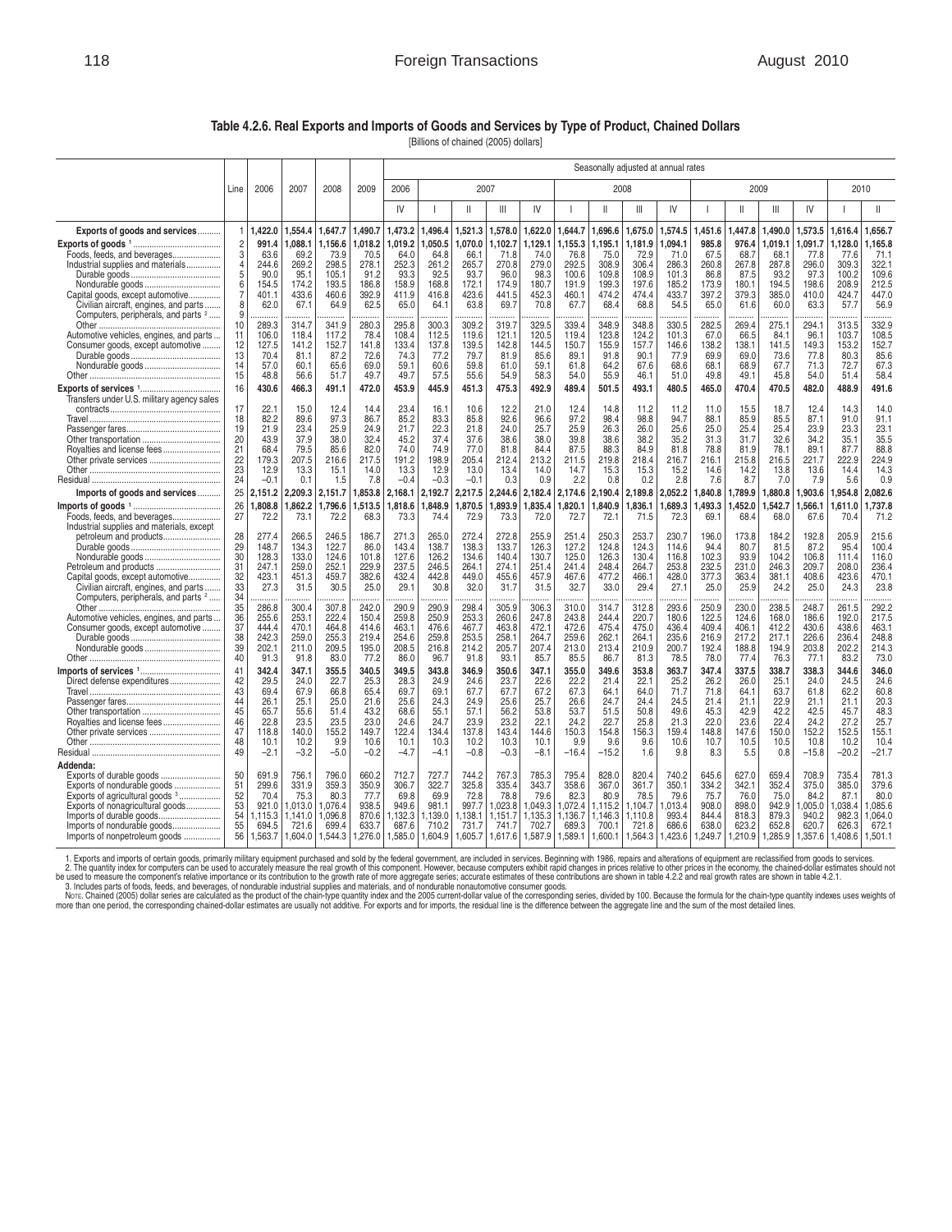## 118 **118 Foreign Transactions August 2010**

#### **Table 4.2.6. Real Exports and Imports of Goods and Services by Type of Product, Chained Dollars**

[Billions of chained (2005) dollars]

|                                                                          |          |                |                |                | Seasonally adjusted at annual rates |                |                |                |                 |                |                 |                 |                 |                |                |                |                |                |                 |                 |
|--------------------------------------------------------------------------|----------|----------------|----------------|----------------|-------------------------------------|----------------|----------------|----------------|-----------------|----------------|-----------------|-----------------|-----------------|----------------|----------------|----------------|----------------|----------------|-----------------|-----------------|
|                                                                          | Line     | 2006           | 2007           | 2008           | 2009                                | 2006           |                | 2007           |                 |                |                 |                 | 2008            |                |                |                | 2009           |                | 2010            |                 |
|                                                                          |          |                |                |                |                                     | IV             |                | $\mathbf{I}$   | III             | IV             |                 | $\mathbf{I}$    | Ш               | IV             |                | $\mathsf{II}$  | Ш              | IV             |                 | $\mathsf{II}$   |
| Exports of goods and services                                            |          | ,422.0         | ,554.4         | ,647.7         | 1,490.7                             | 1,473.2        | ,496.4         | ,521.3         | 1,578.0         | 622.0          | 1,644.7         | 1,696.6         | 1,675.0         | 1,574.5        | ,451.6         | ,447.8         | ,490.0         | ,573.5         | 1,616.4         | 1,656.7         |
| Foods, feeds, and beverages                                              | 2<br>3   | 991.4<br>63.6  | ,088.1<br>69.2 | ,156.6<br>73.9 | ,018.2<br>70.5                      | ,019.2<br>64.0 | ,050.5<br>64.8 | ,070.0<br>66.1 | 1,102.7<br>71.8 | ,129.1<br>74.0 | 1,155.3<br>76.8 | 1,195.1<br>75.0 | 1,181.9<br>72.9 | ,094.1<br>71.0 | 985.8<br>67.5  | 976.4<br>68.7  | ,019.1<br>68.1 | ,091.7<br>77.8 | 1,128.0<br>77.6 | 1,165.8<br>71.1 |
| Industrial supplies and materials                                        | 4        | 244.6          | 269.2          | 298.5          | 278.1                               | 252.3          | 261.2          | 265.7          | 270.8           | 279.0          | 292.5           | 308.9           | 306.4           | 286.3          | 260.8          | 267.8          | 287.8          | 296.0          | 309.3           | 322.1           |
|                                                                          | 5<br>6   | 90.0<br>154.5  | 95.1<br>174.2  | 105.1<br>193.5 | 91.2<br>186.8                       | 93.3<br>158.9  | 92.5<br>168.8  | 93.7<br>172.1  | 96.0<br>174.9   | 98.3<br>180.7  | 100.6<br>191.9  | 109.8<br>199.3  | 108.9<br>197.6  | 101.3<br>185.2 | 86.8<br>173.9  | 87.5<br>180.1  | 93.2<br>194.5  | 97.3<br>198.6  | 100.2<br>208.9  | 109.6<br>212.5  |
| Capital goods, except automotive                                         | 7        | 401.1          | 433.6          | 460.6          | 392.9                               | 411.9          | 416.8          | 423.6          | 441.5           | 452.3          | 460.1           | 474.2           | 474.4           | 433.7          | 397.2          | 379.3          | 385.0          | 410.0          | 424.7           | 447.0           |
| Civilian aircraft, engines, and parts                                    | 8        | 62.0           | 67.1           | 64.9           | 62.5                                | 65.0           | 64.1           | 63.8           | 69.7            | 70.8           | 67.7            | 68.4            | 68.8            | 54.5           | 65.0           | 61.6           | 60.0           | 63.3           | 57.7            | 56.9            |
| Computers, peripherals, and parts <sup>2</sup>                           | 9<br>10  | 289.3          | 314.7          | 341.9          | 280.3                               | 295.8          | 300.3          | 309.2          | 319.7           | 329.5          | 339.4           | 348.9           | 348.8           | 330.5          | 282.5          | 269.4          | 275.1          | 294.1          | 313.5           | 332.9           |
| Automotive vehicles, engines, and parts                                  | 11       | 106.0          | 118.4          | 117.2          | 78.4                                | 108.4          | 112.5          | 119.6          | 121.1           | 120.5          | 119.4           | 123.8           | 124.2           | 101.3          | 67.0           | 66.5           | 84.1           | 96.1           | 103.7           | 108.5           |
| Consumer goods, except automotive                                        | 12       | 127.5          | 141.2          | 152.7          | 141.8                               | 133.4          | 137.8          | 139.5          | 142.8           | 144.5          | 150.7           | 155.9           | 157.7           | 146.6          | 138.2          | 138.1          | 141.5          | 149.3          | 153.2           | 152.7           |
|                                                                          | 13<br>14 | 70.4<br>57.0   | 81.1<br>60.1   | 87.2<br>65.6   | 72.6<br>69.0                        | 74.3<br>59.1   | 77.2<br>60.6   | 79.7<br>59.8   | 81.9<br>61.0    | 85.6<br>59.1   | 89.1<br>61.8    | 91.8<br>64.2    | 90.1<br>67.6    | 77.9<br>68.6   | 69.9<br>68.1   | 69.0<br>68.9   | 73.6<br>67.7   | 77.8<br>71.3   | 80.3<br>72.7    | 85.6<br>67.3    |
|                                                                          | 15       | 48.8           | 56.6           | 51.7           | 49.7                                | 49.7           | 57.5           | 55.6           | 54.9            | 58.3           | 54.0            | 55.9            | 46.1            | 51.0           | 49.8           | 49.1           | 45.8           | 54.0           | 51.4            | 58.4            |
|                                                                          | 16       | 430.6          | 466.3          | 491.1          | 472.0                               | 453.9          | 445.9          | 451.3          | 475.3           | 492.9          | 489.4           | 501.5           | 493.1           | 480.5          | 465.0          | 470.4          | 470.5          | 482.0          | 488.9           | 491.6           |
| Transfers under U.S. military agency sales                               |          |                |                |                |                                     |                |                |                |                 |                |                 |                 |                 |                |                |                |                |                |                 |                 |
| Travel                                                                   | 17<br>18 | 22.1<br>82.2   | 15.0<br>89.6   | 12.4<br>97.3   | 14.4<br>86.7                        | 23.4<br>85.2   | 16.1<br>83.3   | 10.6<br>85.8   | 12.2<br>92.6    | 21.0<br>96.6   | 12.4<br>97.2    | 14.8<br>98.4    | 11.2<br>98.8    | 11.2<br>94.7   | 11.0<br>88.1   | 15.5<br>85.9   | 18.7<br>85.5   | 12.4<br>87.1   | 14.3<br>91.0    | 14.0<br>91.1    |
|                                                                          | 19       | 21.9           | 23.4           | 25.9           | 24.9                                | 21.7           | 22.3           | 21.8           | 24.0            | 25.7           | 25.9            | 26.3            | 26.0            | 25.6           | 25.0           | 25.4           | 25.4           | 23.9           | 23.3            | 23.1            |
|                                                                          | 20       | 43.9           | 37.9           | 38.0           | 32.4                                | 45.2           | 37.4           | 37.6           | 38.6            | 38.0           | 39.8            | 38.6            | 38.2            | 35.2           | 31.3           | 31.7           | 32.6           | 34.2           | 35.1            | 35.5            |
| Royalties and license fees                                               | 21<br>22 | 68.4<br>179.3  | 79.5<br>207.5  | 85.6<br>216.6  | 82.0<br>217.5                       | 74.0<br>191.2  | 74.9<br>198.9  | 77.0<br>205.4  | 81.8<br>212.4   | 84.4<br>213.2  | 87.5<br>211.5   | 88.3<br>219.8   | 84.9<br>218.4   | 81.8<br>216.7  | 78.8<br>216.1  | 81.9<br>215.8  | 78.1<br>216.5  | 89.1<br>221.7  | 87.7<br>222.9   | 88.8<br>224.9   |
| Other private services                                                   | 23       | 12.9           | 13.3           | 15.1           | 14.0                                | 13.3           | 12.9           | 13.0           | 13.4            | 14.0           | 14.7            | 15.3            | 15.3            | 15.2           | 14.6           | 14.2           | 13.8           | 13.6           | 14.4            | 14.3            |
|                                                                          | 24       | $-0.1$         | 0.1            | 1.5            | 7.8                                 | $-0.4$         | $-0.3$         | $-0.1$         | 0.3             | 0.9            | 2.2             | 0.8             | 0.2             | 2.8            | 7.6            | 8.7            | 7.0            | 7.9            | 5.6             | 0.9             |
| Imports of goods and services                                            | 25       | 2,151.2        | 2,209.3        | 2,151.7        | 1,853.8                             | 2,168.1        | 2,192.7        | 2,217.5        | 2,244.6         | 2,182.4        | 2,174.6         | 2,190.4         | 2,189.8         | 2,052.2        | 1,840.8        | ,789.9         | 1,880.8        | 1,903.6        | 1,954.8         | 2,082.6         |
|                                                                          | 26       | .808.8         | .862.2         | .796.6         | .513.5                              | .818.6         | 1.848.9        | .870.5         | .893.9          | .835.4         | .820.1          | .840.9          | .836.1          | .689.3         | 493.3          | 452.0          | .542.7         | .566.1         | 1.611.0         | .737.8          |
| Foods, feeds, and beverages<br>Industrial supplies and materials, except | 27       | 72.2           | 73.1           | 72.2           | 68.3                                | 73.3           | 74.4           | 72.9           | 73.3            | 72.0           | 72.7            | 72.1            | 71.5            | 72.3           | 69.1           | 68.4           | 68.0           | 67.6           | 70.4            | 71.2            |
| petroleum and products                                                   | 28       | 277.4          | 266.5          | 246.5          | 186.7                               | 271.3          | 265.0          | 272.4          | 272.8           | 255.9          | 251.4           | 250.3           | 253.7           | 230.7          | 196.0          | 173.8          | 184.2          | 192.8          | 205.9           | 215.6           |
|                                                                          | 29       | 148.7          | 134.3          | 122.7          | 86.0                                | 143.4          | 138.7          | 138.3          | 133.7           | 126.3          | 127.2           | 124.8           | 124.3           | 114.6          | 94.4           | 80.7           | 81.5           | 87.2           | 95.4            | 100.4           |
|                                                                          | 30<br>31 | 128.3<br>247.1 | 133.0<br>259.0 | 124.6<br>252.1 | 101.8<br>229.9                      | 127.6<br>237.5 | 126.2<br>246.5 | 134.6<br>264.1 | 140.4<br>274.1  | 130.7<br>251.4 | 125.0<br>241.4  | 126.3<br>248.4  | 130.4<br>264.7  | 116.8<br>253.8 | 102.3<br>232.5 | 93.9<br>231.0  | 104.2<br>246.3 | 106.8<br>209.7 | 111.4<br>208.0  | 116.0<br>236.4  |
| Capital goods, except automotive                                         | 32       | 423.1          | 451.3          | 459.7          | 382.6                               | 432.4          | 442.8          | 449.0          | 455.6           | 457.9          | 467.6           | 477.2           | 466.1           | 428.0          | 377.3          | 363.4          | 381.1          | 408.6          | 423.6           | 470.1           |
| Civilian aircraft, engines, and parts                                    | 33       | 27.3           | 31.5           | 30.5           | 25.0                                | 29.1           | 30.8           | 32.0           | 31.7            | 31.5           | 32.7            | 33.0            | 29.4            | 27.1           | 25.0           | 25.9           | 24.2           | 25.0           | 24.3            | 23.8            |
| Computers, peripherals, and parts <sup>2</sup>                           | 34<br>35 | 286.8          | 300.4          | 307.8          | 242.0                               | 290.9          | 290.9          | 298.4          | 305.9           | 306.3          | 310.0           | 314.7           | 312.8           | 293.6          | 250.9          | 230.0          | 238.5          | 248.7          | 261.5           | 292.2           |
| Automotive vehicles, engines, and parts                                  | 36       | 255.6          | 253.1          | 222.4          | 150.4                               | 259.8          | 250.9          | 253.3          | 260.6           | 247.8          | 243.8           | 244.4           | 220.7           | 180.6          | 122.5          | 124.6          | 168.0          | 186.6          | 192.0           | 217.5           |
| Consumer goods, except automotive                                        | 37       | 444.4          | 470.1          | 464.8          | 414.6                               | 463.1          | 476.6          | 467.7          | 463.8           | 472.1          | 472.6           | 475.4           | 475.0           | 436.4          | 409.4          | 406.1          | 412.2          | 430.6          | 438.6           | 463.1           |
|                                                                          | 38<br>39 | 242.3<br>202.1 | 259.0<br>211.0 | 255.3<br>209.5 | 219.4<br>195.0                      | 254.6<br>208.5 | 259.8<br>216.8 | 253.5<br>214.2 | 258.1<br>205.7  | 264.7<br>207.4 | 259.6<br>213.0  | 262.1<br>213.4  | 264.1<br>210.9  | 235.6<br>200.7 | 216.9<br>192.4 | 217.2<br>188.8 | 217.1<br>194.9 | 226.6<br>203.8 | 236.4<br>202.2  | 248.8<br>214.3  |
| Nondurable goods                                                         | 40       | 91.3           | 91.8           | 83.0           | 77.2                                | 86.0           | 96.7           | 91.8           | 93.1            | 85.7           | 85.5            | 86.7            | 81.3            | 78.5           | 78.0           | 77.4           | 76.3           | 77.1           | 83.2            | 73.0            |
|                                                                          | 41       | 342.4          | 347.1          | 355.5          | 340.5                               | 349.5          | 343.8          | 346.9          | 350.6           | 347.1          | 355.0           | 349.6           | 353.8           | 363.7          | 347.4          | 337.5          | 338.7          | 338.3          | 344.6           | 346.0           |
| Direct defense expenditures                                              | 42       | 29.5           | 24.0           | 22.7           | 25.3                                | 28.3           | 24.9           | 24.6           | 23.7            | 22.6           | 22.2            | 21.4            | 22.1            | 25.2           | 26.2           | 26.0           | 25.1           | 24.0           | 24.5            | 24.6            |
|                                                                          | 43<br>44 | 69.4<br>26.1   | 67.9<br>25.1   | 66.8<br>25.0   | 65.4<br>21.6                        | 69.7<br>25.6   | 69.1<br>24.3   | 67.7<br>24.9   | 67.7<br>25.6    | 67.2<br>25.7   | 67.3<br>26.6    | 64.1<br>24.7    | 64.0<br>24.4    | 71.7<br>24.5   | 71.8<br>21.4   | 64.1<br>21.1   | 63.7<br>22.9   | 61.8<br>21.1   | 62.2<br>21.1    | 60.8<br>20.3    |
|                                                                          | 45       | 65.7           | 55.6           | 51.4           | 43.2                                | 68.6           | 55.1           | 57.1           | 56.2            | 53.8           | 53.7            | 51.5            | 50.8            | 49.6           | 45.3           | 42.9           | 42.2           | 42.5           | 45.7            | 48.3            |
| Royalties and license fees                                               | 46       | 22.8           | 23.5           | 23.5           | 23.0                                | 24.6           | 24.7           | 23.9           | 23.2            | 22.1           | 24.2            | 22.7            | 25.8            | 21.3           | 22.0           | 23.6           | 22.4           | 24.2           | 27.2            | 25.7            |
| Other private services                                                   | 47<br>48 | 118.8<br>10.1  | 140.0<br>10.2  | 155.2<br>9.9   | 149.7<br>10.6                       | 122.4<br>10.1  | 134.4<br>10.3  | 137.8<br>10.2  | 143.4<br>10.3   | 144.6<br>10.1  | 150.3<br>9.9    | 154.8<br>9.6    | 156.3<br>9.6    | 159.4<br>10.6  | 148.8<br>10.7  | 147.6<br>10.5  | 150.0<br>10.5  | 152.2<br>10.8  | 152.5<br>10.2   | 155.1<br>10.4   |
|                                                                          | 49       | $-2.1$         | $-3.2$         | $-5.0$         | $-0.2$                              | $-4.7$         | $-4.1$         | $-0.8$         | $-0.3$          | $-8.1$         | $-16.4$         | $-15.2$         | 1.6             | 9.8            | 8.3            | 5.5            | 0.8            | $-15.8$        | $-20.2$         | $-21.7$         |
| Addenda:                                                                 |          |                |                |                |                                     |                |                |                |                 |                |                 |                 |                 |                |                |                |                |                |                 |                 |
|                                                                          | 50       | 691.9          | 756.1          | 796.0          | 660.2                               | 712.7          | 727.7          | 744.2          | 767.3           | 785.3          | 795.4           | 828.0           | 820.4           | 740.2          | 645.6          | 627.0          | 659.4          | 708.9          | 735.4           | 781.3           |
| Exports of nondurable goods<br>Exports of agricultural goods 3           | 51<br>52 | 299.6<br>70.4  | 331.9<br>75.3  | 359.3<br>80.3  | 350.9<br>77.7                       | 306.7<br>69.8  | 322.7<br>69.9  | 325.8<br>72.8  | 335.4<br>78.8   | 343.7<br>79.6  | 358.6<br>82.3   | 367.0<br>80.9   | 361.7<br>78.5   | 350.1<br>79.6  | 334.2<br>75.7  | 342.1<br>76.0  | 352.4<br>75.0  | 375.0<br>84.2  | 385.0<br>87.1   | 379.6<br>80.0   |
| Exports of nonagricultural goods                                         | 53       | 921.0          | ,013.0         | ,076.4         | 938.5                               | 949.6          | 981.1          | 997.7          | 1,023.8         | ,049.3         | 072.4           | 1,115.2         | 1.104.7         | ,013.4         | 908.0          | 898.0          | 942.9          | ,005.0         | .038.4          | 1.085.6         |
| Imports of durable goods                                                 | 54       | .115.3         | 1.141.0        | .096.8         | 870.6                               | 1,132.3        | .139.0         | .138.1         | 1,151.7         | ,135.3         | 1,136.7         | 1.146.3         | 1.110.8         | 993.4          | 844.4          | 818.3          | 879.3          | 940.2          | 982.3           | 1.064.0         |
| Imports of nondurable goods                                              | 55       | 694.5          | 721.6          | 699.4          | 633.7                               | 687.6          | 710.2          | 731.7          | 741.7           | 702.7          | 689.3           | 700.1           | 721.8           | 686.6          | 638.0          | 623.2          | 652.8          | 620.7          | 626.3           | 672.1           |
| Imports of nonpetroleum goods                                            | 56       | .563.7         | ,604.0         | .544.3         | ,276.0                              | ,585.0         | ,604.9         | .605.7         | 1,617.6         | 1,587.9        | 1,589.1         | 1,600.1         | 1,564.3         | 1,423.6        | ,249.7         | ,210.9         | ,285.9         | .357.6         | 1,408.6         | 1,501.1         |

1. Exports and imports of certain goods, primarily military equipment purchased<br>2. The quantity index for computers can be used to accurately measure the real<br>used to measure the component's relative importance or its cont 1. Exports and imports of certain goods, primarily military equipment purchased and sold by the federal government, are included in services. Beginning with 1986, repairs and alterations of equipment are reclassified from